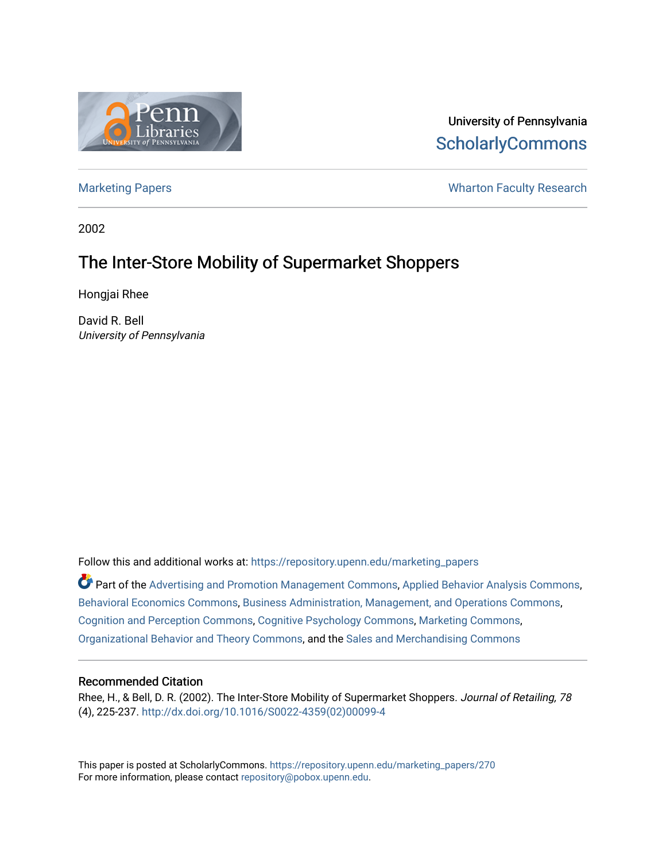

University of Pennsylvania **ScholarlyCommons** 

[Marketing Papers](https://repository.upenn.edu/marketing_papers) **Marketing Papers Marketing Papers Wharton Faculty Research** 

2002

# The Inter-Store Mobility of Supermarket Shoppers

Hongjai Rhee

David R. Bell University of Pennsylvania

Follow this and additional works at: [https://repository.upenn.edu/marketing\\_papers](https://repository.upenn.edu/marketing_papers?utm_source=repository.upenn.edu%2Fmarketing_papers%2F270&utm_medium=PDF&utm_campaign=PDFCoverPages)

Part of the [Advertising and Promotion Management Commons,](http://network.bepress.com/hgg/discipline/626?utm_source=repository.upenn.edu%2Fmarketing_papers%2F270&utm_medium=PDF&utm_campaign=PDFCoverPages) [Applied Behavior Analysis Commons](http://network.bepress.com/hgg/discipline/1235?utm_source=repository.upenn.edu%2Fmarketing_papers%2F270&utm_medium=PDF&utm_campaign=PDFCoverPages), [Behavioral Economics Commons,](http://network.bepress.com/hgg/discipline/341?utm_source=repository.upenn.edu%2Fmarketing_papers%2F270&utm_medium=PDF&utm_campaign=PDFCoverPages) [Business Administration, Management, and Operations Commons](http://network.bepress.com/hgg/discipline/623?utm_source=repository.upenn.edu%2Fmarketing_papers%2F270&utm_medium=PDF&utm_campaign=PDFCoverPages), [Cognition and Perception Commons,](http://network.bepress.com/hgg/discipline/407?utm_source=repository.upenn.edu%2Fmarketing_papers%2F270&utm_medium=PDF&utm_campaign=PDFCoverPages) [Cognitive Psychology Commons,](http://network.bepress.com/hgg/discipline/408?utm_source=repository.upenn.edu%2Fmarketing_papers%2F270&utm_medium=PDF&utm_campaign=PDFCoverPages) [Marketing Commons](http://network.bepress.com/hgg/discipline/638?utm_source=repository.upenn.edu%2Fmarketing_papers%2F270&utm_medium=PDF&utm_campaign=PDFCoverPages), [Organizational Behavior and Theory Commons](http://network.bepress.com/hgg/discipline/639?utm_source=repository.upenn.edu%2Fmarketing_papers%2F270&utm_medium=PDF&utm_campaign=PDFCoverPages), and the [Sales and Merchandising Commons](http://network.bepress.com/hgg/discipline/646?utm_source=repository.upenn.edu%2Fmarketing_papers%2F270&utm_medium=PDF&utm_campaign=PDFCoverPages) 

#### Recommended Citation

Rhee, H., & Bell, D. R. (2002). The Inter-Store Mobility of Supermarket Shoppers. Journal of Retailing, 78 (4), 225-237. [http://dx.doi.org/10.1016/S0022-4359\(02\)00099-4](http://dx.doi.org/10.1016/S0022-4359(02)00099-4) 

This paper is posted at ScholarlyCommons. [https://repository.upenn.edu/marketing\\_papers/270](https://repository.upenn.edu/marketing_papers/270)  For more information, please contact [repository@pobox.upenn.edu.](mailto:repository@pobox.upenn.edu)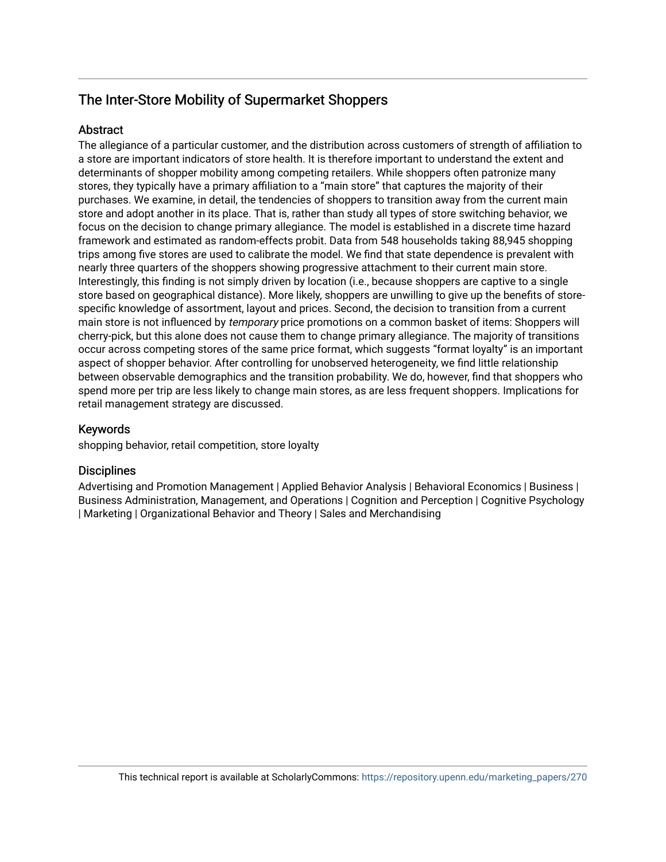# The Inter-Store Mobility of Supermarket Shoppers

### **Abstract**

The allegiance of a particular customer, and the distribution across customers of strength of affiliation to a store are important indicators of store health. It is therefore important to understand the extent and determinants of shopper mobility among competing retailers. While shoppers often patronize many stores, they typically have a primary affiliation to a "main store" that captures the majority of their purchases. We examine, in detail, the tendencies of shoppers to transition away from the current main store and adopt another in its place. That is, rather than study all types of store switching behavior, we focus on the decision to change primary allegiance. The model is established in a discrete time hazard framework and estimated as random-effects probit. Data from 548 households taking 88,945 shopping trips among five stores are used to calibrate the model. We find that state dependence is prevalent with nearly three quarters of the shoppers showing progressive attachment to their current main store. Interestingly, this finding is not simply driven by location (i.e., because shoppers are captive to a single store based on geographical distance). More likely, shoppers are unwilling to give up the benefits of storespecific knowledge of assortment, layout and prices. Second, the decision to transition from a current main store is not influenced by temporary price promotions on a common basket of items: Shoppers will cherry-pick, but this alone does not cause them to change primary allegiance. The majority of transitions occur across competing stores of the same price format, which suggests "format loyalty" is an important aspect of shopper behavior. After controlling for unobserved heterogeneity, we find little relationship between observable demographics and the transition probability. We do, however, find that shoppers who spend more per trip are less likely to change main stores, as are less frequent shoppers. Implications for retail management strategy are discussed.

### Keywords

shopping behavior, retail competition, store loyalty

### **Disciplines**

Advertising and Promotion Management | Applied Behavior Analysis | Behavioral Economics | Business | Business Administration, Management, and Operations | Cognition and Perception | Cognitive Psychology | Marketing | Organizational Behavior and Theory | Sales and Merchandising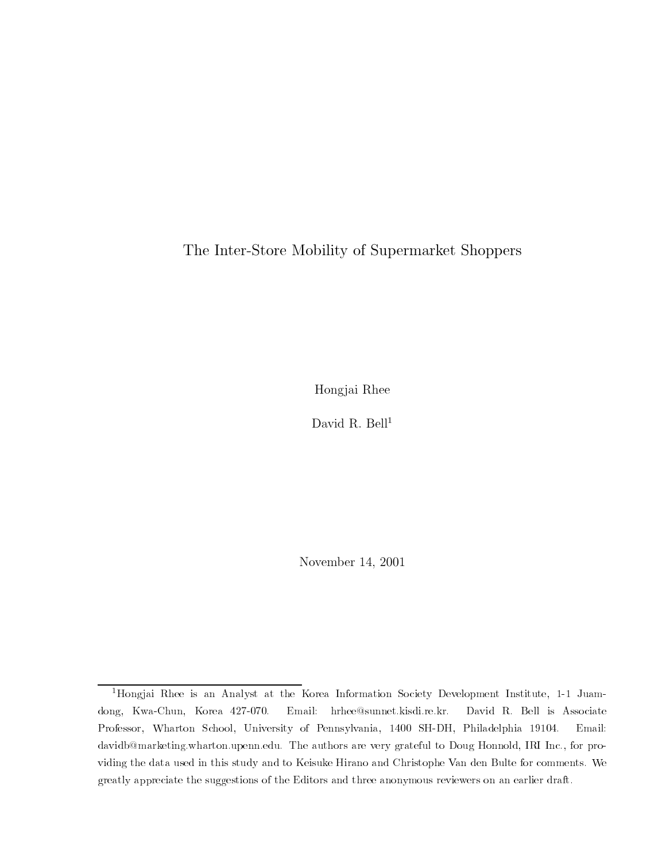The Inter-Store Mobility of Supermarket Shoppers

Hongjai Rhee

David R. Bell<sup>1</sup>

November 14, 2001

<sup>&</sup>lt;sup>1</sup>Hongjai Rhee is an Analyst at the Korea Information Society Development Institute, 1-1 Juamdong, Kwa-Chun, Kore a 427-070. Email: hrhee@sunnet.kisdi.re kr. David R. Bell is Associate Professor, Wharton School, University of Pennsylvania, 1400 SH-DH, Philadelphia 19104. Email:  $\rm{davidb@marketing}$ , wharton upenn edu. The authors are very grateful to Doug Honnold, IRI Inc., for providing the data used in this study and to Keisuke Hirano and Christophe Van den Bulte for comments. We greatly appreciate the suggestions of the Editors and three anonymous reviewers on an earlier draft.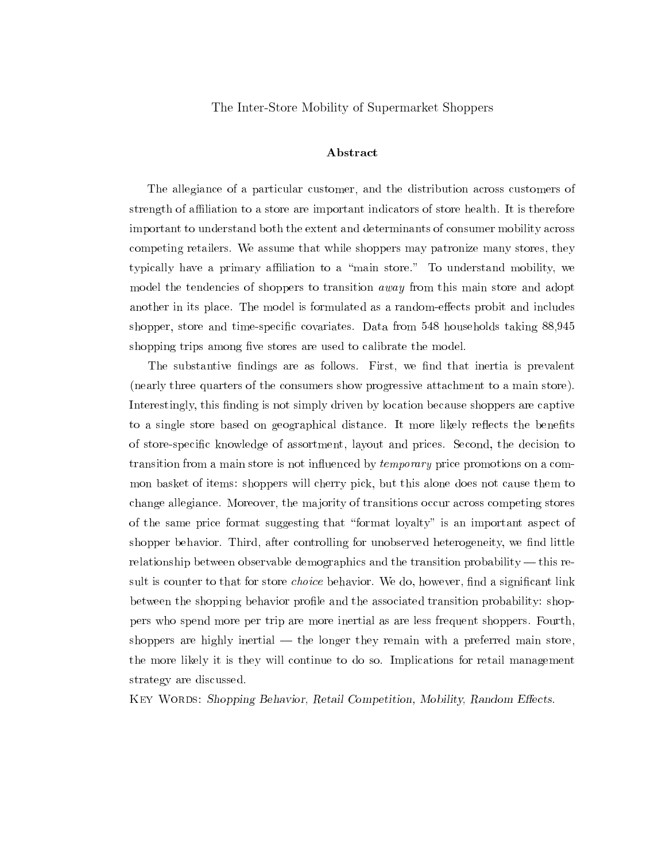#### The Inter-Store Mobility of Supermarket Shoppers

#### Abstract

The allegiance of a particular customer, and the distribution across customers of strength of affiliation to a store are important indicators of store health. It is therefore important to understand both the extent and determinants of consumer mobility across competing retailers. We assume that while shoppers may patronize many stores, they typically have a primary affiliation to a "main store." To understand mobility, we model the tendencies of shoppers to transition *away* from this main store and adopt another in its place. The model is formulated as a random-effects probit and includes shopper, store and time-specific covariates. Data from 548 households taking 88,945 shopping trips among five stores are used to calibrate the model.

The substantive findings are as follows. First, we find that inertia is prevalent (nearly three quarters of the consumers show progressive attachment to a main store). Interestingly, this finding is not simply driven by location because shoppers are captive to a single store based on geographical distance. It more likely reflects the benefits of store-specific knowledge of assortment, layout and prices. Second, the decision to transition from a main store is not influenced by *temporary* price promotions on a common basket of items: shoppers will cherry pick, but this alone does not cause them to change allegiance. Moreover, the majority of transitions occur across competing stores of the same price format suggesting that "format loyalty" is an important aspect of shopper behavior. Third, after controlling for unobserved heterogeneity, we find little relationship between observable demographics and the transition probability  $-$  this result is counter to that for store *choice* behavior. We do, however, find a significant link between the shopping behavior profile and the associated transition probability: shoppers who spend more per trip are more inertial as are less frequent shoppers. Fourth, shoppers are highly inertial — the longer they remain with a preferred main store, the more likely it is they will continue to do so. Implications for retail management strategy are discussed.

KEY WORDS: Shopping Behavior, Retail Competition, Mobility, Random Effects.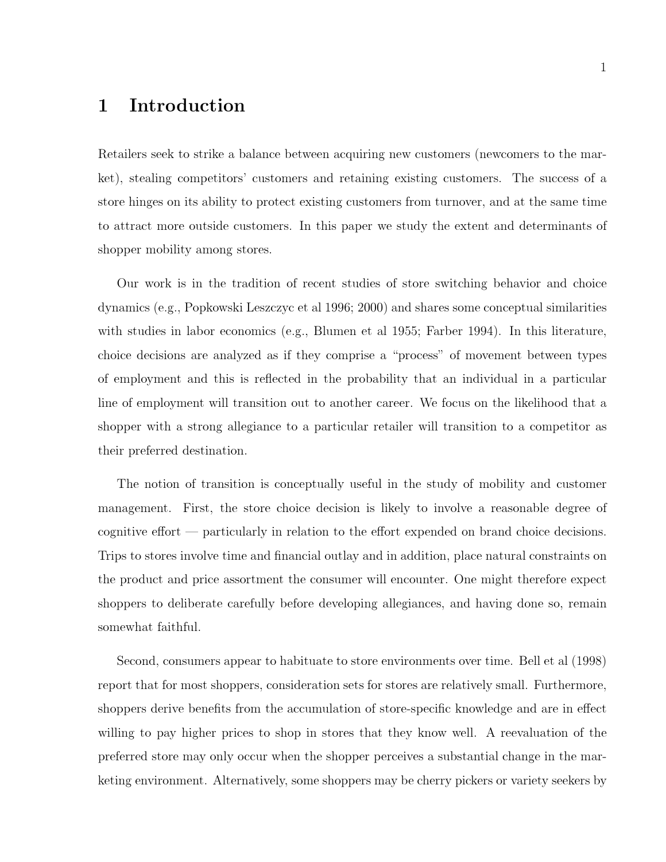# 1 Introduction

Retailers seek to strike a balance between acquiring new customers (newcomers to the market), stealing competitors' customers and retaining existing customers. The success of a store hinges on its ability to protect existing customers from turnover, and at the same time to attract more outside customers. In this paper we study the extent and determinants of shopper mobility among stores.

Our work is in the tradition of recent studies of store switching behavior and choice dynamics (e.g., Popkowski Leszczyc et al 1996; 2000) and shares some conceptual similarities with studies in labor economics (e.g., Blumen et al 1955; Farber 1994). In this literature, choice decisions are analyzed as if they comprise a "process" of movement between types of employment and this is reflected in the probability that an individual in a particular line of employment will transition out to another career. We focus on the likelihood that a shopper with a strong allegiance to a particular retailer will transition to a competitor as their preferred destination.

The notion of transition is conceptually useful in the study of mobility and customer management. First, the store choice decision is likely to involve a reasonable degree of cognitive effort  $-$  particularly in relation to the effort expended on brand choice decisions. Trips to stores involve time and financial outlay and in addition, place natural constraints on the product and price assortment the consumer will encounter. One might therefore expect shoppers to deliberate carefully before developing allegiances, and having done so, remain somewhat faithful.

Second, consumers appear to habituate to store environments over time. Bell et al (1998) report that for most shoppers, consideration sets for stores are relatively small. Furthermore, shoppers derive benefits from the accumulation of store-specific knowledge and are in effect willing to pay higher prices to shop in stores that they know well. A reevaluation of the preferred store may only occur when the shopper perceives a substantial change in the marketing environment. Alternatively, some shoppers may be cherry pickers or variety seekers by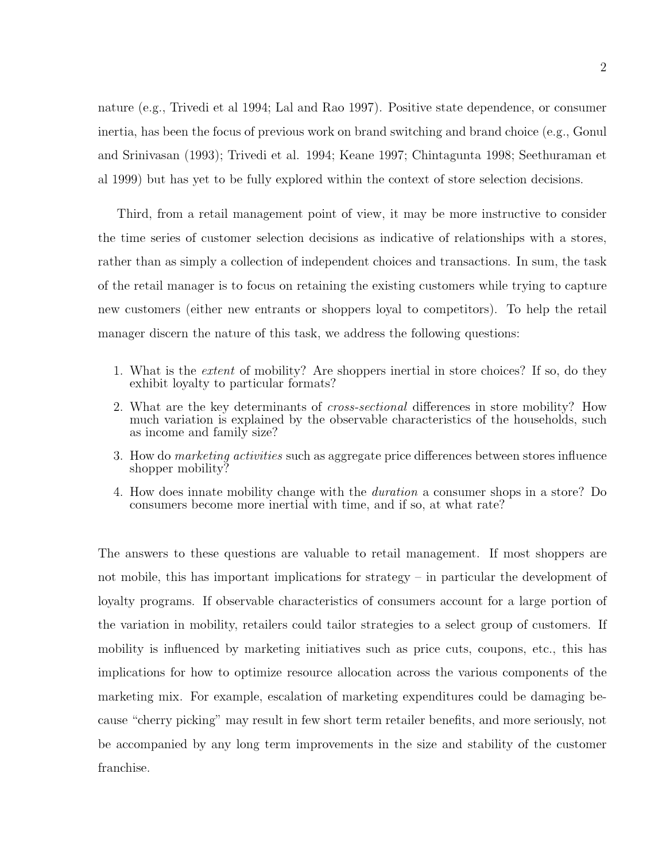nature (e.g., Trivedi et al 1994; Lal and Rao 1997). Positive state dependence, or consumer inertia, has been the focus of previous work on brand switching and brand choice (e.g., Gonul and Srinivasan (1993); Trivedi et al. 1994; Keane 1997; Chintagunta 1998; Seethuraman et al 1999) but has yet to be fully explored within the context of store selection decisions.

Third, from a retail management point of view, it may be more instructive to consider the time series of customer selection decisions as indicative of relationships with a stores, rather than as simply a collection of independent choices and transactions. In sum, the task of the retail manager is to focus on retaining the existing customers while trying to capture new customers (either new entrants or shoppers loyal to competitors). To help the retail manager discern the nature of this task, we address the following questions:

- 1. What is the extent of mobility? Are shoppers inertial in store choices? If so, do they exhibit loyalty to particular formats?
- 2. What are the key determinants of *cross-sectional* differences in store mobility? How much variation is explained by the observable characteristics of the households, such as income and family size?
- 3. How do *marketing activities* such as aggregate price differences between stores influence shopper mobility?
- 4. How does innate mobility change with the duration a consumer shops in a store? Do consumers become more inertial with time, and if so, at what rate?

The answers to these questions are valuable to retail management. If most shoppers are not mobile, this has important implications for strategy  ${\sim}$  in particular the development of loyalty programs. If observable characteristics of consumers account for a large portion of the variation in mobility, retailers could tailor strategies to a select group of customers. If mobility is influenced by marketing initiatives such as price cuts, coupons, etc., this has implications for how to optimize resource allocation across the various components of the marketing mix. For example, escalation of marketing expenditures could be damaging because "cherry picking" may result in few short term retailer benefits, and more seriously, not be accompanied by any long term improvements in the size and stability of the customer franchise.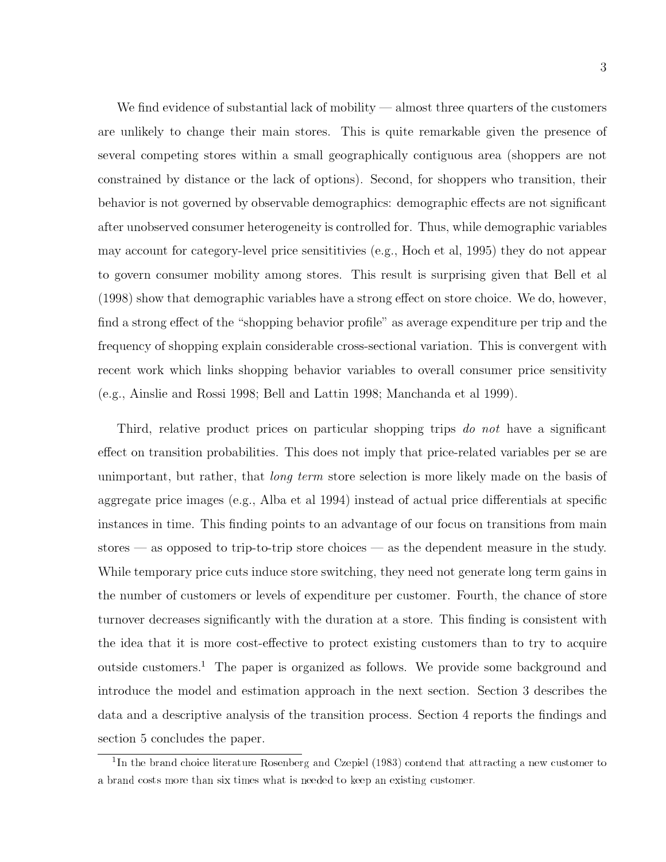We find evidence of substantial lack of mobility  $-$  almost three quarters of the customers are unlikely to change their main stores. This is quite remarkable given the presence of several competing stores within a small geographically contiguous area (shoppers are not constrained by distance or the lack of options). Second, for shoppers who transition, their behavior is not governed by observable demographics: demographic effects are not significant after unobserved consumer heterogeneity is controlled for. Thus, while demographic variables may account for category-level price sensititivies (e.g., Hoch et al, 1995) they do not appear to govern consumer mobility among stores. This result is surprising given that Bell et al  $(1998)$  show that demographic variables have a strong effect on store choice. We do, however, find a strong effect of the "shopping behavior profile" as average expenditure per trip and the frequency of shopping explain considerable cross-sectional variation. This is convergent with recent work which links shopping behavior variables to overall consumer price sensitivity (e.g., Ainslie and Rossi 1998; Bell and Lattin 1998; Manchanda et al 1999).

Third, relative product prices on particular shopping trips do not have a significant effect on transition probabilities. This does not imply that price-related variables per se are unimportant, but rather, that *long term* store selection is more likely made on the basis of aggregate price images (e.g., Alba et al  $1994$ ) instead of actual price differentials at specific instances in time. This finding points to an advantage of our focus on transitions from main stores  $-$  as opposed to trip-to-trip store choices  $-$  as the dependent measure in the study. While temporary price cuts induce store switching, they need not generate long term gains in the number of customers or levels of expenditure per customer. Fourth, the chance of store turnover decreases significantly with the duration at a store. This finding is consistent with the idea that it is more cost-effective to protect existing customers than to try to acquire outside customers.<sup>1</sup> The paper is organized as follows. We provide some background and introduce the model and estimation approach in the next section. Section 3 describes the data and a descriptive analysis of the transition process. Section 4 reports the findings and section 5 concludes the paper.

<sup>&</sup>lt;sup>1</sup>In the brand choice literature Rosenberg and Czepiel (1983) contend that attracting a new customer to a brand costs more than six times what is needed to keep an existing customer.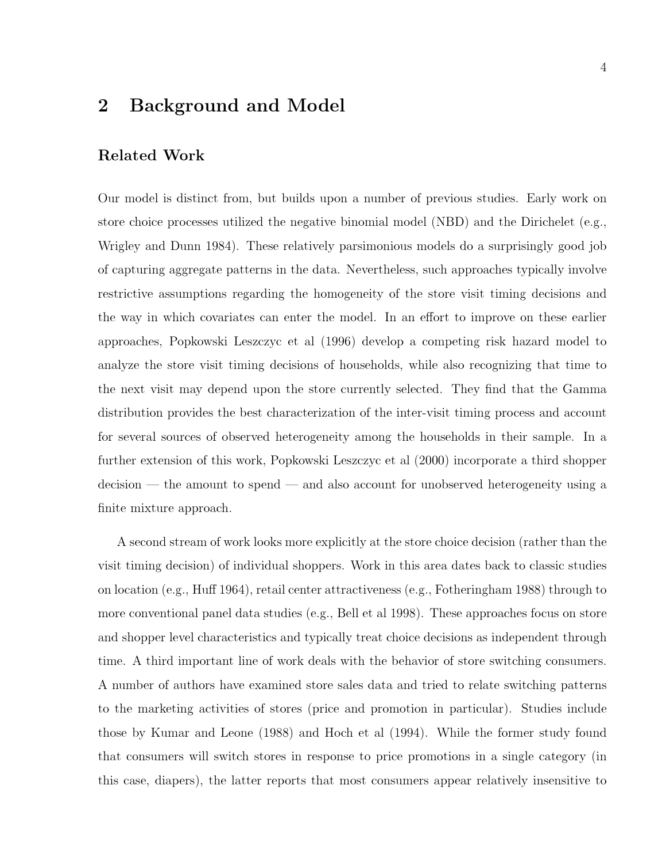# 2 Background and Model

## Related Work

Our model is distinct from, but builds upon a number of previous studies. Early work on store choice processes utilized the negative binomial model (NBD) and the Dirichelet (e.g., Wrigley and Dunn 1984). These relatively parsimonious models do a surprisingly good job of capturing aggregate patterns in the data. Nevertheless, such approaches typically involve restrictive assumptions regarding the homogeneity of the store visit timing decisions and the way in which covariates can enter the model. In an effort to improve on these earlier approaches, Popkowski Leszczyc et al (1996) develop a competing risk hazard model to analyze the store visit timing decisions of households, while also recognizing that time to the next visit may depend upon the store currently selected. They find that the Gamma distribution provides the best characterization of the inter-visit timing process and account for several sources of observed heterogeneity among the households in their sample. In a further extension of this work, Popkowski Leszczyc et al (2000) incorporate a third shopper  $\alpha$  decision  $-$  the amount to spend  $-$  and also account for unobserved heterogeneity using a finite mixture approach.

A second stream of work looks more explicitly at the store choice decision (rather than the visit timing decision) of individual shoppers. Work in this area dates back to classic studies on location (e.g., Huff 1964), retail center attractiveness (e.g., Fotheringham 1988) through to more conventional panel data studies (e.g., Bell et al 1998). These approaches focus on store and shopper level characteristics and typically treat choice decisions as independent through time. A third important line of work deals with the behavior of store switching consumers. A number of authors have examined store sales data and tried to relate switching patterns to the marketing activities of stores (price and promotion in particular). Studies include those by Kumar and Leone (1988) and Hoch et al (1994). While the former study found that consumers will switch stores in response to price promotions in a single category (in this case, diapers), the latter reports that most consumers appear relatively insensitive to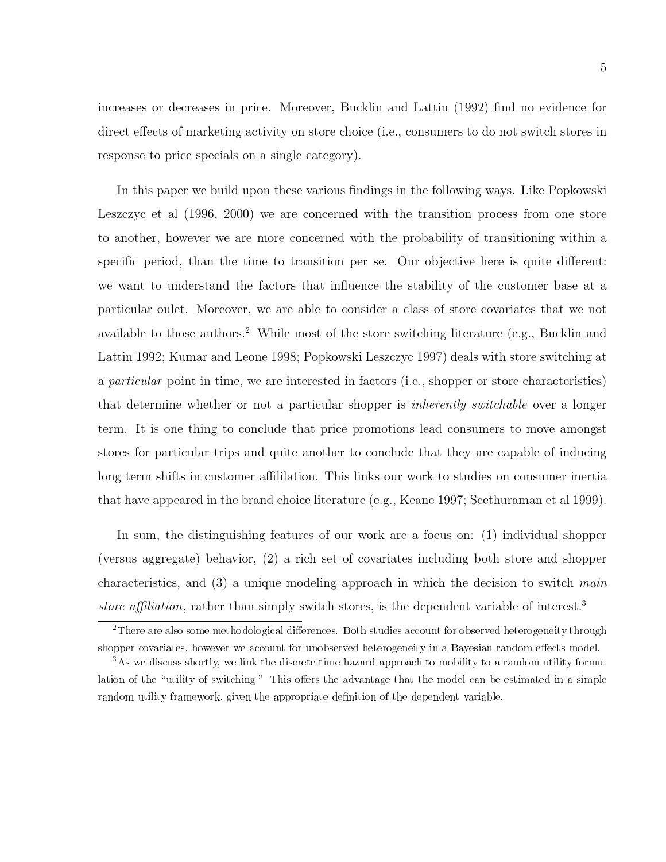increases or decreases in price. Moreover, Bucklin and Lattin (1992) find no evidence for direct effects of marketing activity on store choice (i.e., consumers to do not switch stores in response to price specials on a single category).

In this paper we build upon these various findings in the following ways. Like Popkowski Leszczyc et al (1996, 2000) we are concerned with the transition process from one store to another, however we are more concerned with the probability of transitioning within a specific period, than the time to transition per se. Our objective here is quite different: we want to understand the factors that influence the stability of the customer base at a particular oulet. Moreover, we are able to consider a class of store covariates that we not available to those authors.<sup>2</sup> While most of the store switching literature (e.g., Bucklin and Lattin 1992; Kumar and Leone 1998; Popkowski Leszczyc 1997) deals with store switching at a particular point in time, we are interested in factors (i.e., shopper or store characteristics) that determine whether or not a particular shopper is inherently switchable over a longer term. It is one thing to conclude that price promotions lead consumers to move amongst stores for particular trips and quite another to conclude that they are capable of inducing long term shifts in customer affililation. This links our work to studies on consumer inertia that have appeared in the brand choice literature (e.g., Keane 1997; Seethuraman et al 1999).

In sum, the distinguishing features of our work are a focus on: (1) individual shopper (versus aggregate) behavior, (2) a rich set of covariates including both store and shopper characteristics, and  $(3)$  a unique modeling approach in which the decision to switch main store affiliation, rather than simply switch stores, is the dependent variable of interest.<sup>3</sup>

 ${}^{2}$ There are also some methodological differences. Both studies account for observed heterogeneity through shopper covariates, however we account for unobserved heterogeneity in a Bayesian random effects model.

 ${}^{3}$  As we discuss shortly, we link the discrete time hazard approach to mobility to a random utility formulation of the "utility of switching." This offers the advantage that the model can be estimated in a simple random utility framework, given the appropriate definition of the dependent variable.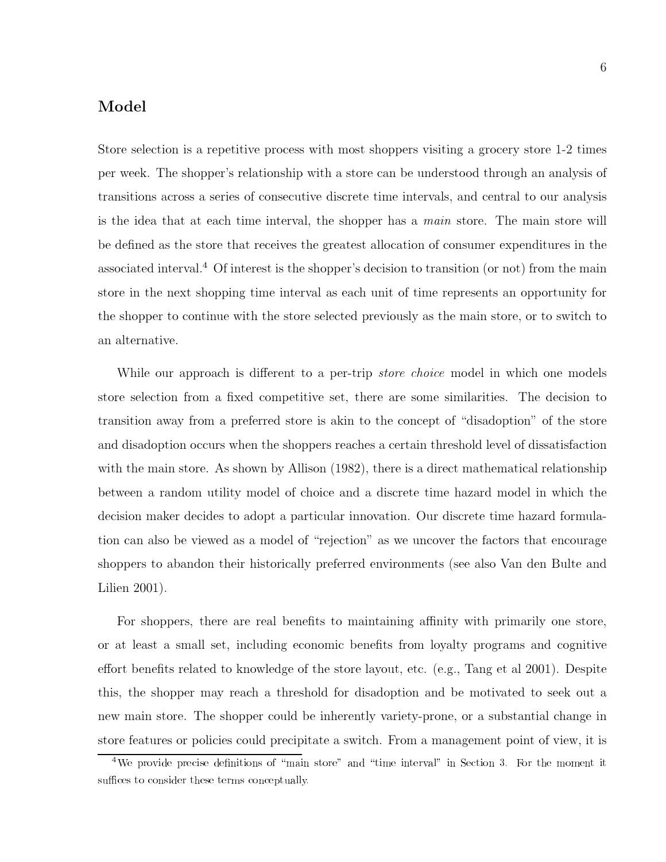## Model

Store selection is a repetitive process with most shoppers visiting a grocery store 1-2 times per week. The shopper's relationship with a store can be understood through an analysis of transitions across a series of consecutive discrete time intervals, and central to our analysis is the idea that at each time interval, the shopper has a main store. The main store will be defined as the store that receives the greatest allocation of consumer expenditures in the associated interval.<sup>4</sup> Of interest is the shopper's decision to transition (or not) from the main store in the next shopping time interval as each unit of time represents an opportunity for the shopper to continue with the store selected previously as the main store, or to switch to an alternative.

While our approach is different to a per-trip *store choice* model in which one models store selection from a fixed competitive set, there are some similarities. The decision to transition away from a preferred store is akin to the concept of \disadoption" of the store and disadoption occurs when the shoppers reaches a certain threshold level of dissatisfaction with the main store. As shown by Allison (1982), there is a direct mathematical relationship between a random utility model of choice and a discrete time hazard model in which the decision maker decides to adopt a particular innovation. Our discrete time hazard formulation can also be viewed as a model of "rejection" as we uncover the factors that encourage shoppers to abandon their historically preferred environments (see also Van den Bulte and Lilien 2001).

For shoppers, there are real benefits to maintaining affinity with primarily one store, or at least a small set, including economic benefits from loyalty programs and cognitive effort benefits related to knowledge of the store layout, etc. (e.g., Tang et al 2001). Despite this, the shopper may reach a threshold for disadoption and be motivated to seek out a new main store. The shopper could be inherently variety-prone, or a substantial change in store features or policies could precipitate a switch. From a management point of view, it is

<sup>&</sup>lt;sup>4</sup>We provide precise definitions of "main store" and "time interval" in Section 3. For the moment it suffices to consider these terms conceptually.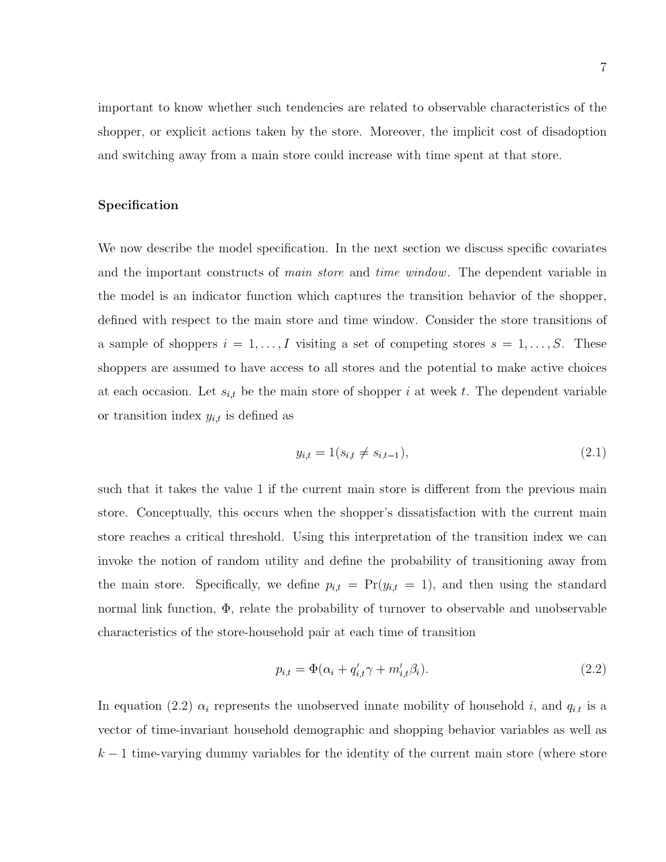important to know whether such tendencies are related to observable characteristics of the shopper, or explicit actions taken by the store. Moreover, the implicit cost of disadoption and switching away from a main store could increase with time spent at that store.

#### Specification

We now describe the model specification. In the next section we discuss specific covariates and the important constructs of *main store* and *time window*. The dependent variable in the model is an indicator function which captures the transition behavior of the shopper, defined with respect to the main store and time window. Consider the store transitions of a sample of shoppers  $i = 1, \ldots, I$  visiting a set of competing stores  $s = 1, \ldots, S$ . These shoppers are assumed to have access to all stores and the potential to make active choices at each occasion. Let  $s_{i,t}$  be the main store of shopper i at week t. The dependent variable or transition index  $y_{i,t}$  is defined as

$$
y_{i,t} = 1(s_{i,t} \neq s_{i,t-1}),
$$
\n(2.1)

such that it takes the value 1 if the current main store is different from the previous main store. Conceptually, this occurs when the shopper's dissatisfaction with the current main store reaches a critical threshold. Using this interpretation of the transition index we can invoke the notion of random utility and define the probability of transitioning away from the main store. Specifically, we define  $p_{i,t} = \Pr(y_{i,t} = 1)$ , and then using the standard normal link function,  $\Phi$ , relate the probability of turnover to observable and unobservable characteristics of the store-household pair at each time of transition

$$
p_{i,t} = \Phi(\alpha_i + q'_{i,t}\gamma + m'_{i,t}\beta_i). \tag{2.2}
$$

-

In equation (2.2)  $\alpha_i$  represents the unobserved innate mobility of household i, and  $q_{i,t}$  is a vector of time-invariant household demographic and shopping behavior variables as well as  $k-1$  time-varying dummy variables for the identity of the current main store (where store

-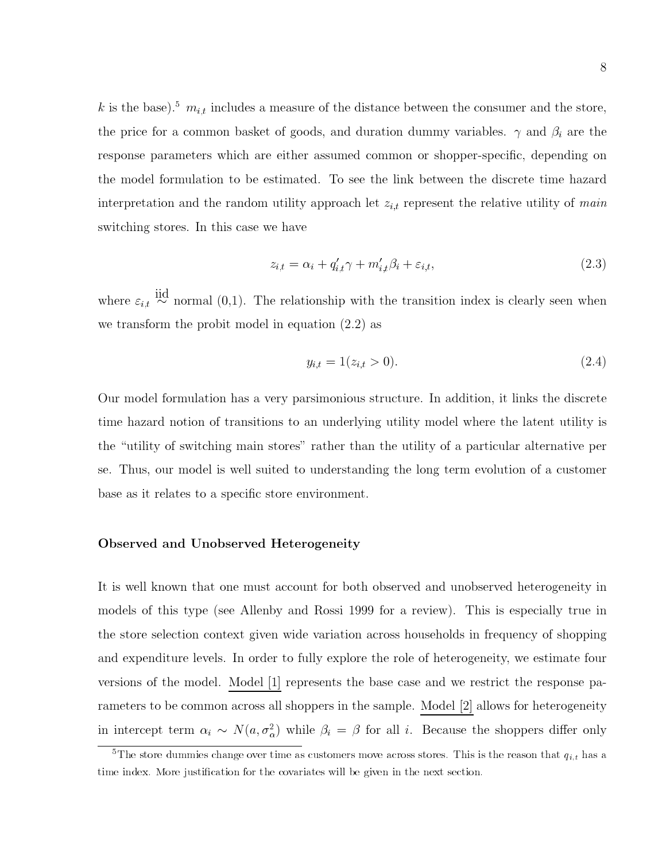k is the base).<sup>5</sup>  $m_{i,t}$  includes a measure of the distance between the consumer and the store, the price for a common basket of goods, and duration dummy variables.  $\gamma$  and  $\beta_i$  are the response parameters which are either assumed common or shopper-specific, depending on the model formulation to be estimated. To see the link between the discrete time hazard interpretation and the random utility approach let  $z_{i,t}$  represent the relative utility of *main* switching stores. In this case we have

$$
z_{i,t} = \alpha_i + q'_{i,t}\gamma + m'_{i,t}\beta_i + \varepsilon_{i,t},\tag{2.3}
$$

where  $\varepsilon_{i,t}$ iid normal  $(0,1)$ . The relationship with the transition index is clearly seen when we transform the probit model in equation (2.2) as

$$
y_{i,t} = 1(z_{i,t} > 0). \tag{2.4}
$$

Our model formulation has a very parsimonious structure. In addition, it links the discrete time hazard notion of transitions to an underlying utility model where the latent utility is the "utility of switching main stores" rather than the utility of a particular alternative per se. Thus, our model is well suited to understanding the long term evolution of a customer base as it relates to a specific store environment.

#### Observed and Unobserved Heterogeneity

It is well known that one must account for both observed and unobserved heterogeneity in models of this type (see Allenby and Rossi 1999 for a review). This is especially true in the store selection context given wide variation across households in frequency of shopping and expenditure levels. In order to fully explore the role of heterogeneity, we estimate four versions of the model. Model [1] represents the base case and we restrict the response parameters to be common across all shoppers in the sample. Model [2] allows for heterogeneity in intercept term  $\alpha_i \sim N(a, \sigma^2_{\alpha})$  while  $\beta_i = \beta$  for all i. Because the shoppers differ only

The store dummies change over time as customers move across stores. This is the reason that  $q_{i,t}$  has a  $\frac{1}{2}$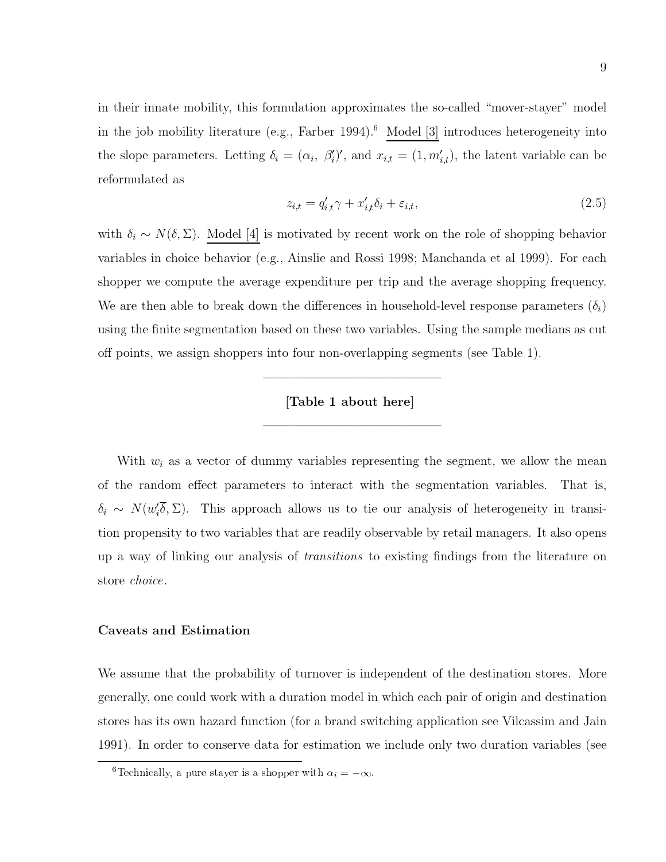in their innate mobility, this formulation approximates the so-called "mover-stayer" model in the job mobility literature (e.g., Farber 1994).<sup>6</sup> Model [3] introduces heterogeneity into the slope parameters. Letting  $\delta_i = (\alpha_i, \beta'_i)'$ , and  $x_{i,t} = (1, m'_{i,t})$ , the latent variable can be reformulated as

$$
z_{i,t} = q'_{i,t}\gamma + x'_{i,t}\delta_i + \varepsilon_{i,t},\tag{2.5}
$$

with  $\delta_i \sim N(\delta, \Sigma)$ . Model [4] is motivated by recent work on the role of shopping behavior variables in choice behavior (e.g., Ainslie and Rossi 1998; Manchanda et al 1999). For each shopper we compute the average expenditure per trip and the average shopping frequency. We are then able to break down the differences in household-level response parameters  $(\delta_i)$ using the finite segmentation based on these two variables. Using the sample medians as cut o® points, we assign shoppers into four non-overlapping segments (see Table 1).

### [Table 1 about here]

||||||||||||||

||||||||||||||

With  $w_i$  as a vector of dummy variables representing the segment, we allow the mean of the random effect parameters to interact with the segmentation variables. That is,  $\delta_i \sim N(w_i^{\prime} \delta, \Sigma)$ . This approach allows us to tie our analysis of heterogeneity in transition propensity to two variables that are readily observable by retail managers. It also opens up a way of linking our analysis of *transitions* to existing findings from the literature on store choice.

#### Caveats and Estimation

We assume that the probability of turnover is independent of the destination stores. More generally, one could work with a duration model in which each pair of origin and destination stores has its own hazard function (for a brand switching application see Vilcassim and Jain 1991). In order to conserve data for estimation we include only two duration variables (see

<sup>&</sup>lt;sup>6</sup>Technically, a pure stayer is a shopper with  $\alpha_i = -\infty$ .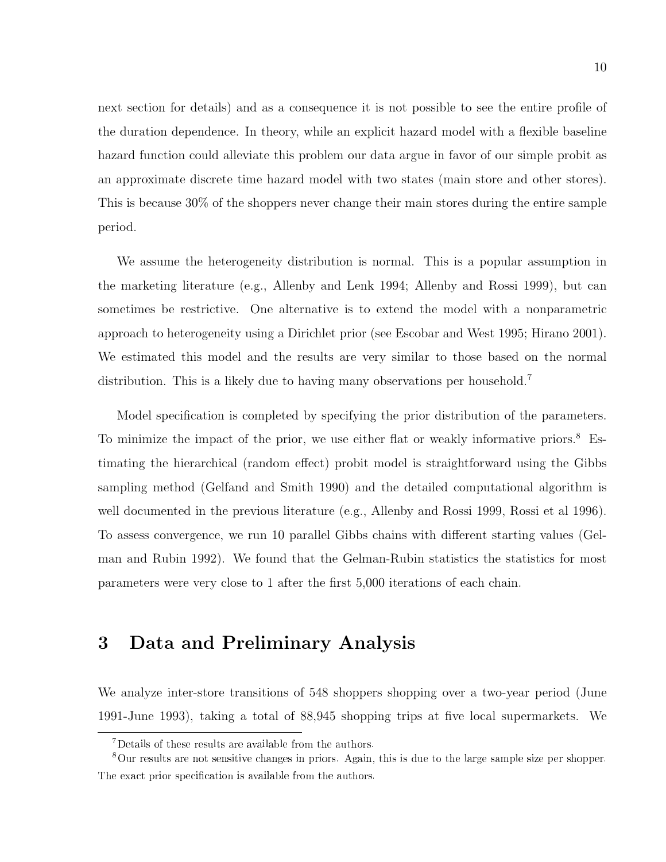next section for details) and as a consequence it is not possible to see the entire profile of the duration dependence. In theory, while an explicit hazard model with a flexible baseline hazard function could alleviate this problem our data argue in favor of our simple probit as an approximate discrete time hazard model with two states (main store and other stores). This is because 30% of the shoppers never change their main stores during the entire sample period.

We assume the heterogeneity distribution is normal. This is a popular assumption in the marketing literature (e.g., Allenby and Lenk 1994; Allenby and Rossi 1999), but can sometimes be restrictive. One alternative is to extend the model with a nonparametric approach to heterogeneity using a Dirichlet prior (see Escobar and West 1995; Hirano 2001). We estimated this model and the results are very similar to those based on the normal distribution. This is a likely due to having many observations per household.<sup>7</sup>

Model specification is completed by specifying the prior distribution of the parameters. To minimize the impact of the prior, we use either flat or weakly informative priors.<sup>8</sup> Estimating the hierarchical (random effect) probit model is straightforward using the Gibbs sampling method (Gelfand and Smith 1990) and the detailed computational algorithm is well documented in the previous literature (e.g., Allenby and Rossi 1999, Rossi et al 1996). To assess convergence, we run 10 parallel Gibbs chains with different starting values (Gelman and Rubin 1992). We found that the Gelman-Rubin statistics the statistics for most parameters were very close to 1 after the first 5,000 iterations of each chain.

# 3 Data and Preliminary Analysis

We analyze inter-store transitions of 548 shoppers shopping over a two-year period (June 1991-June 1993), taking a total of  $88,945$  shopping trips at five local supermarkets. We

<sup>&</sup>lt;sup>7</sup>Details of these results are available from the authors.

 ${}^8$ Our results are not sensitive changes in priors. Again, this is due to the large sample size per shopper. The exact prior specification is available from the authors.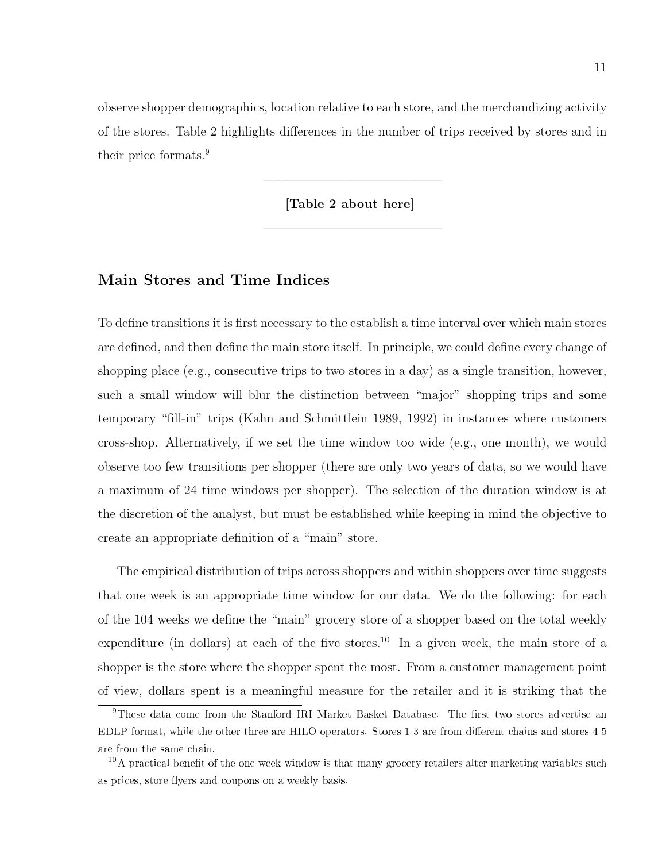observe shopper demographics, location relative to each store, and the merchandizing activity of the stores. Table 2 highlights differences in the number of trips received by stores and in their price formats. 

[Table 2 about here]

||||||||||||||

||||||||||||||

## Main Stores and Time Indices

To define transitions it is first necessary to the establish a time interval over which main stores are defined, and then define the main store itself. In principle, we could define every change of shopping place (e.g., consecutive trips to two stores in a day) as a single transition, however, such a small window will blur the distinction between "major" shopping trips and some temporary "fill-in" trips (Kahn and Schmittlein 1989, 1992) in instances where customers cross-shop. Alternatively, if we set the time window too wide (e.g., one month), we would observe too few transitions per shopper (there are only two years of data, so we would have a maximum of 24 time windows per shopper). The selection of the duration window is at the discretion of the analyst, but must be established while keeping in mind the objective to create an appropriate definition of a "main" store.

The empirical distribution of trips across shoppers and within shoppers over time suggests that one week is an appropriate time window for our data. We do the following: for each of the 104 weeks we define the "main" grocery store of a shopper based on the total weekly expenditure (in dollars) at each of the five stores.<sup>10</sup> In a given week, the main store of a shopper is the store where the shopper spent the most. From a customer management point of view, dollars spent is a meaningful measure for the retailer and it is striking that the

 $^9$ These data come from the Stanford IRI Market Basket Database. The first two stores advertise an  $EDLP$  format, while the other three are HILO operators. Stores 1-3 are from different chains and stores 4-5 are from the same chain.

 $^{10}$ A practical benefit of the one week window is that many grocery retailers alter marketing variables such as prices, store flyers and coupons on a weekly basis.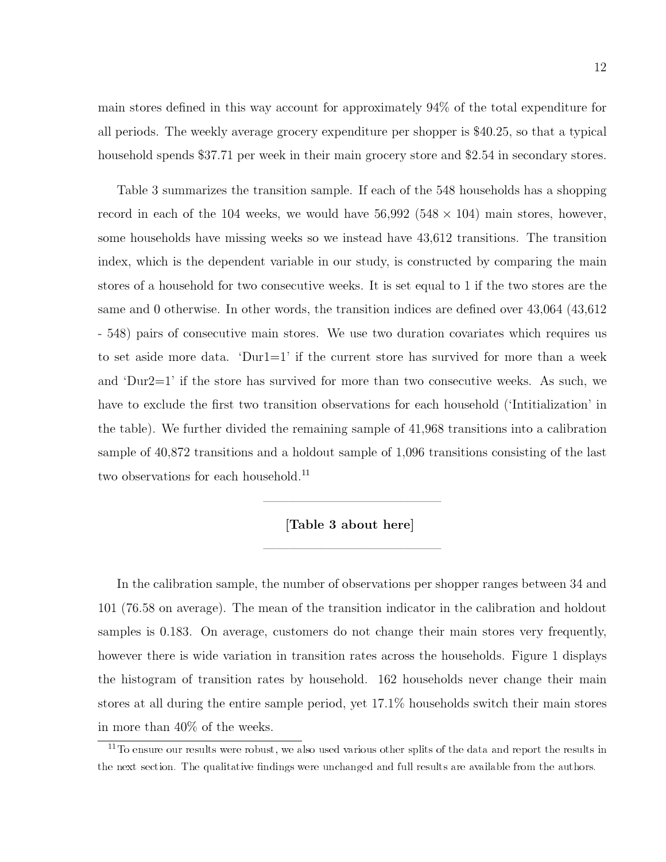main stores defined in this way account for approximately 94% of the total expenditure for all periods. The weekly average grocery expenditure per shopper is \$40.25, so that a typical household spends \$37.71 per week in their main grocery store and \$2.54 in secondary stores.

Table 3 summarizes the transition sample. If each of the 548 households has a shopping record in each of the 104 weeks, we would have  $56,992$  ( $548 \times 104$ ) main stores, however, some households have missing weeks so we instead have 43,612 transitions. The transition index, which is the dependent variable in our study, is constructed by comparing the main stores of a household for two consecutive weeks. It is set equal to 1 if the two stores are the same and 0 otherwise. In other words, the transition indices are defined over  $43,064$  ( $43,612$ ) - 548) pairs of consecutive main stores. We use two duration covariates which requires us to set aside more data. `Dur1=1' if the current store has survived for more than a week and 'Dur2 $=1$ ' if the store has survived for more than two consecutive weeks. As such, we have to exclude the first two transition observations for each household ('Intitialization' in the table). We further divided the remaining sample of 41,968 transitions into a calibration sample of 40,872 transitions and a holdout sample of 1,096 transitions consisting of the last two observations for each household.<sup>11</sup>

#### [Table 3 about here]

||||||||||||||

||||||||||||||

In the calibration sample, the number of observations per shopper ranges between 34 and 101 (76.58 on average). The mean of the transition indicator in the calibration and holdout samples is 0.183. On average, customers do not change their main stores very frequently, however there is wide variation in transition rates across the households. Figure 1 displays the histogram of transition rates by household. 162 households never change their main stores at all during the entire sample period, yet 17.1% households switch their main stores in more than 40% of the weeks.

 $11$ To ensure our results were robust, we also used various other splits of the data and report the results in - -0 
- - - 
 - -  $\begin{array}{ccc} 1 & 0 & 0 \\ 0 & 0 & 0 \end{array}$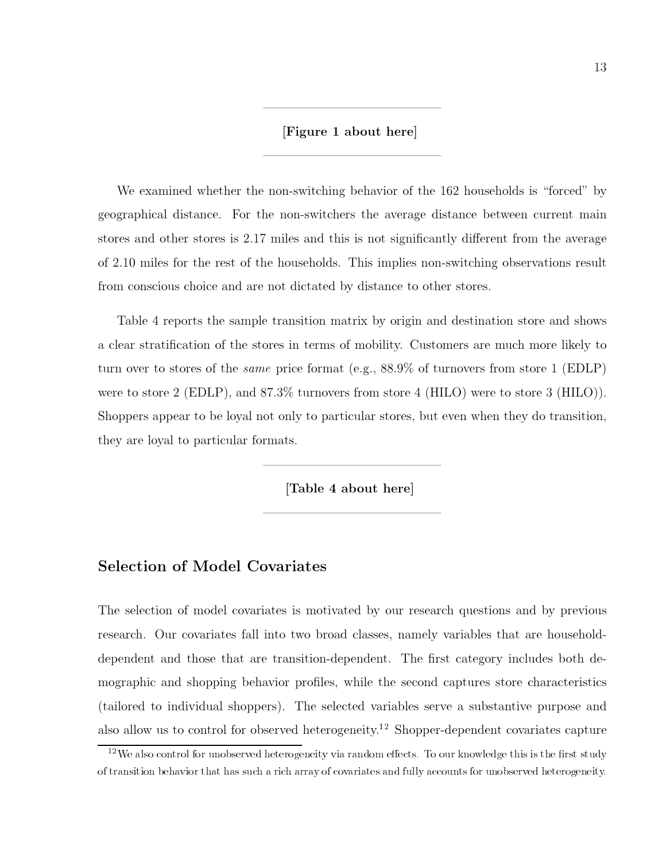#### [Figure 1 about here]

||||||||||||||

||||||||||||||

We examined whether the non-switching behavior of the 162 households is "forced" by geographical distance. For the non-switchers the average distance between current main stores and other stores is 2.17 miles and this is not significantly different from the average of 2.10 miles for the rest of the households. This implies non-switching observations result from conscious choice and are not dictated by distance to other stores.

Table 4 reports the sample transition matrix by origin and destination store and shows a clear stratification of the stores in terms of mobility. Customers are much more likely to turn over to stores of the same price format (e.g., 88.9% of turnovers from store 1 (EDLP) were to store 2 (EDLP), and  $87.3\%$  turnovers from store 4 (HILO) were to store 3 (HILO)). Shoppers appear to be loyal not only to particular stores, but even when they do transition, they are loyal to particular formats.

[Table 4 about here]

||||||||||||||

||||||||||||||

### Selection of Model Covariates

The selection of model covariates is motivated by our research questions and by previous research. Our covariates fall into two broad classes, namely variables that are householddependent and those that are transition-dependent. The first category includes both demographic and shopping behavior profiles, while the second captures store characteristics (tailored to individual shoppers). The selected variables serve a substantive purpose and also allow us to control for observed heterogeneity.<sup>12</sup> Shopper-dependent covariates capture

 $12$ We also control for unobserved heterogeneity via random effects. To our knowledge this is the first study - 
- -- - -0 - - 9 & 1- - \*- <  $\frac{1}{2}$  and  $\frac{1}{2}$  and  $\frac{1}{2}$  and  $\frac{1}{2}$  and  $\frac{1}{2}$  and  $\frac{1}{2}$  and  $\frac{1}{2}$  and  $\frac{1}{2}$  and  $\frac{1}{2}$  and  $\frac{1}{2}$  and  $\frac{1}{2}$  and  $\frac{1}{2}$  and  $\frac{1}{2}$  and  $\frac{1}{2}$  and  $\frac{1}{2}$  and  $\frac{1}{2}$  a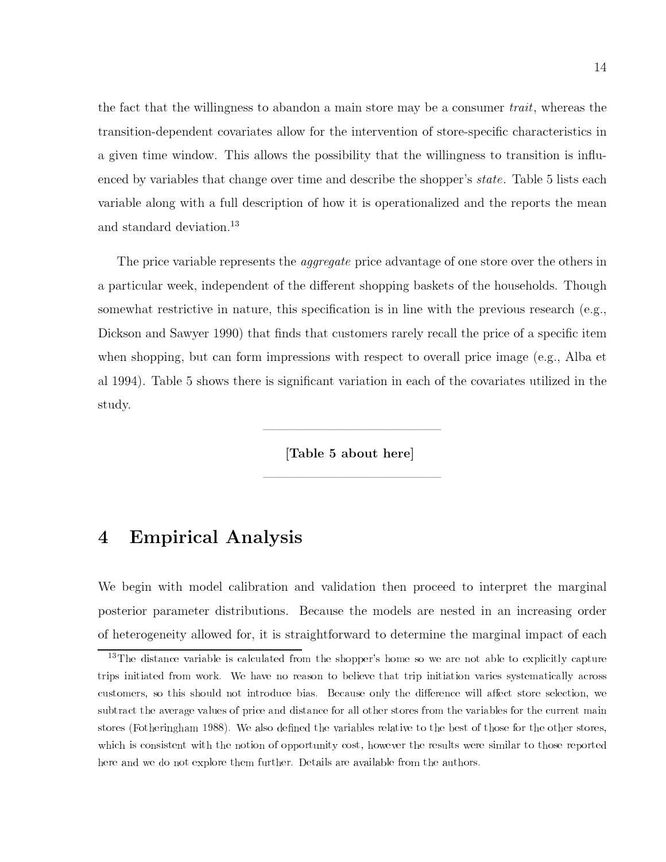the fact that the willingness to abandon a main store may be a consumer *trait*, whereas the transition-dependent covariates allow for the intervention of store-specific characteristics in a given time window. This allows the possibility that the willingness to transition is influenced by variables that change over time and describe the shopper's *state*. Table 5 lists each variable along with a full description of how it is operationalized and the reports the mean and standard deviation.

The price variable represents the *aggregate* price advantage of one store over the others in a particular week, independent of the different shopping baskets of the households. Though somewhat restrictive in nature, this specification is in line with the previous research (e.g., Dickson and Sawyer 1990) that finds that customers rarely recall the price of a specific item when shopping, but can form impressions with respect to overall price image (e.g., Alba et al 1994). Table 5 shows there is significant variation in each of the covariates utilized in the study.

[Table 5 about here]

||||||||||||||

||||||||||||||

# 4 Empirical Analysis

We begin with model calibration and validation then proceed to interpret the marginal posterior parameter distributions. Because the models are nested in an increasing order of heterogeneity allowed for, it is straightforward to determine the marginal impact of each

<sup>--</sup> The distance variable is calculated from the shopper's nome so we are not able to explicitly capture  $\frac{1}{2}$   $\frac{1}{2}$   $\frac{1}{2}$   $\frac{1}{2}$   $\frac{1}{2}$   $\frac{1}{2}$   $\frac{1}{2}$   $\frac{1}{2}$   $\frac{1}{2}$   $\frac{1}{2}$   $\frac{1}{2}$   $\frac{1}{2}$   $\frac{1}{2}$   $\frac{1}{2}$   $\frac{1}{2}$   $\frac{1}{2}$   $\frac{1}{2}$   $\frac{1}{2}$   $\frac{1}{2}$   $\frac{1}{2}$   $\frac{1}{2}$   $\frac{1}{2}$  expressed to the selection were all the contract to the selection of the difference will affect store selection, we customers, so this should not introduce bias. Because only the difference will affect store selection, we<br>subtract the average values of price and distance for all other stores from the variables for the current main<br>store stores (Fotheringham 1988). We also defined the variables relative to the best of those for the other stores, which is consistent with the notion of opportunity cost, however the results were similar to those reported initiated from work. We have no reason to believe that trip initiation varies systematically accounters, so this should not introduce bias. Because only the difference will affect store selection, act the average values of ated from work. We have no reason to believe that trip initiation varies systematically across p<br>dit<br>, ys<br>-<br>foi<br>- $\frac{10}{56}$ so this should not introduce bias. Because only the difference will affect store selection, we iei<br>oi<br>tł tio<br>en<br>er subtract the average values of price and distance for all other stores from the var act the average values of price and distance for all other stores from the v<br>s (Fotheringham 1988). We also defined the variables relative to the best<br>h is consistent with the notion of opportunity cost, however the result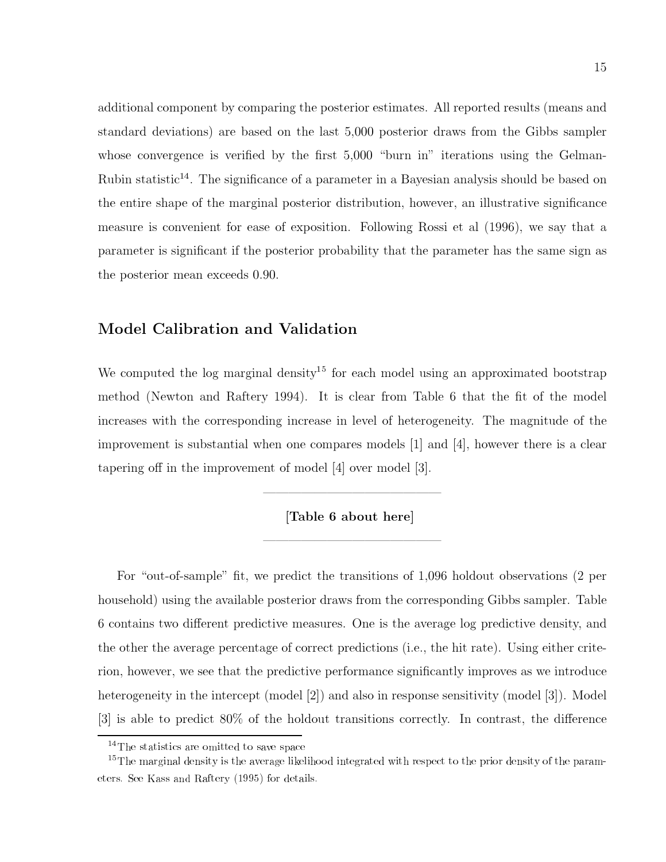additional component by comparing the posterior estimates. All reported results (means and standard deviations) are based on the last 5,000 posterior draws from the Gibbs sampler whose convergence is verified by the first  $5,000$  "burn in" iterations using the Gelman-Rubin statistic<sup>14</sup>. The significance of a parameter in a Bayesian analysis should be based on the entire shape of the marginal posterior distribution, however, an illustrative significance measure is convenient for ease of exposition. Following Rossi et al (1996), we say that a parameter is significant if the posterior probability that the parameter has the same sign as the posterior mean exceeds 0.90.

## Model Calibration and Validation

We computed the log marginal density<sup>15</sup> for each model using an approximated bootstrap method (Newton and Raftery 1994). It is clear from Table  $6$  that the fit of the model increases with the corresponding increase in level of heterogeneity. The magnitude of the improvement is substantial when one compares models [1] and [4], however there is a clear tapering off in the improvement of model  $[4]$  over model  $[3]$ .

#### [Table 6 about here]

||||||||||||||

||||||||||||||

For "out-of-sample" fit, we predict the transitions of  $1,096$  holdout observations (2 per household) using the available posterior draws from the corresponding Gibbs sampler. Table 6 contains two different predictive measures. One is the average log predictive density, and the other the average percentage of correct predictions (i.e., the hit rate). Using either criterion, however, we see that the predictive performance significantly improves as we introduce heterogeneity in the intercept (model [2]) and also in response sensitivity (model [3]). Model  $[3]$  is able to predict 80% of the holdout transitions correctly. In contrast, the difference 1 e<br>-<br>-I is able to predict  $80\%$  of the holdout transitions correctly. In contrast, the difference<br> $\frac{14}{14}$ The statistics are omitted to save space<br> $\frac{15}{15}$ The marginal density is the average likelihood integrated with r

 $\overline{a}$  $\overline{a}$  l.

 $\overline{a}$ 

<sup>&</sup>lt;sup>15</sup>The marginal density is the average likelihood integrated with respect to the prior density of the param-<sup>4</sup>The statistics are omitted to save spa<br><sup>5</sup>The marginal density is the average li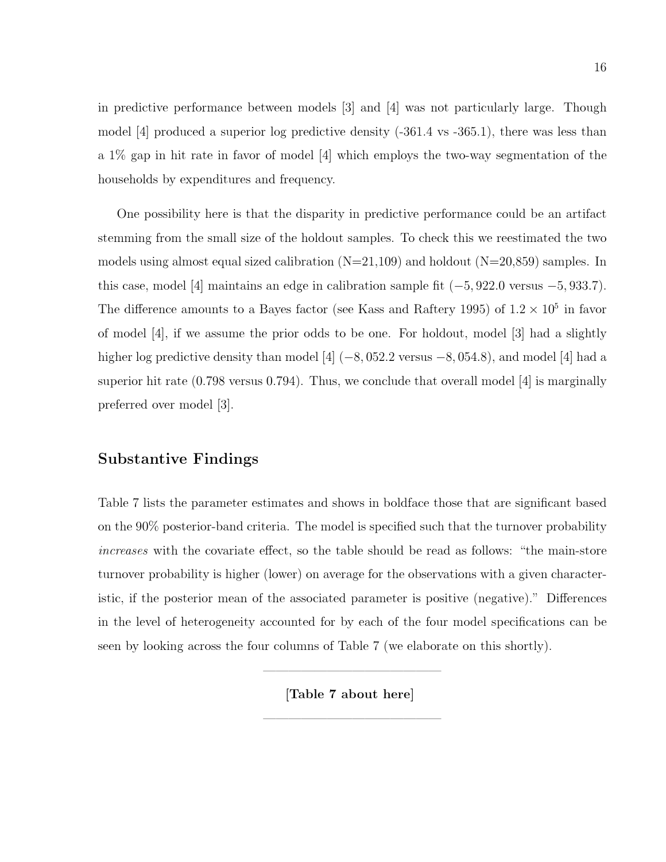in predictive performance between models [3] and [4] was not particularly large. Though model [4] produced a superior log predictive density (-361.4 vs -365.1), there was less than a 1% gap in hit rate in favor of model [4] which employs the two-way segmentation of the households by expenditures and frequency.

One possibility here is that the disparity in predictive performance could be an artifact stemming from the small size of the holdout samples. To check this we reestimated the two models using almost equal sized calibration  $(N=21,109)$  and holdout  $(N=20,859)$  samples. In this case, model [4] maintains an edge in calibration sample fit  $(-5, 922.0 \text{ versus } -5, 933.7)$ . The difference amounts to a Bayes factor (see Kass and Raftery 1995) of  $1.2 \times 10^5$  in favor of model [4], if we assume the prior odds to be one. For holdout, model [3] had a slightly higher log predictive density than model  $[4] (-8, 052.2 \text{ versus } -8, 054.8)$ , and model  $[4]$  had a superior hit rate (0.798 versus 0.794). Thus, we conclude that overall model [4] is marginally preferred over model [3].

### Substantive Findings

Table 7 lists the parameter estimates and shows in boldface those that are significant based on the  $90\%$  posterior-band criteria. The model is specified such that the turnover probability  $increases$  with the covariate effect, so the table should be read as follows: "the main-store turnover probability is higher (lower) on average for the observations with a given characteristic, if the posterior mean of the associated parameter is positive (negative)." Differences in the level of heterogeneity accounted for by each of the four model specifications can be seen by looking across the four columns of Table 7 (we elaborate on this shortly).

[Table 7 about here]

||||||||||||||

||||||||||||||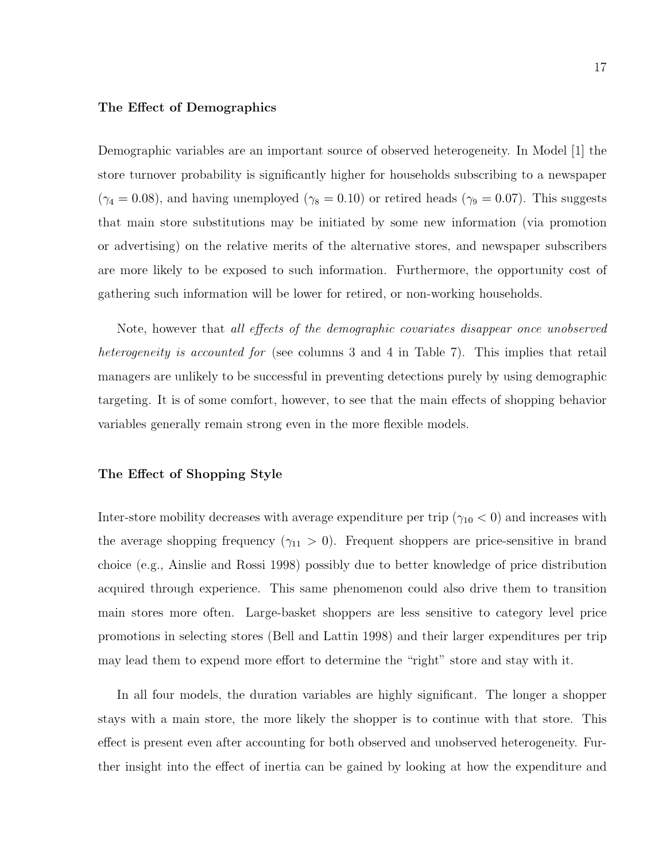#### The Effect of Demographics

Demographic variables are an important source of observed heterogeneity. In Model [1] the store turnover probability is significantly higher for households subscribing to a newspaper  $(\gamma_4 = 0.08)$ , and having unemployed  $(\gamma_8 = 0.10)$  or retired heads  $(\gamma_9 = 0.07)$ . This suggests that main store substitutions may be initiated by some new information (via promotion or advertising) on the relative merits of the alternative stores, and newspaper subscribers are more likely to be exposed to such information. Furthermore, the opportunity cost of gathering such information will be lower for retired, or non-working households.

Note, however that all effects of the demographic covariates disappear once unobserved heterogeneity is accounted for (see columns 3 and 4 in Table 7). This implies that retail managers are unlikely to be successful in preventing detections purely by using demographic targeting. It is of some comfort, however, to see that the main effects of shopping behavior variables generally remain strong even in the more flexible models.

#### The Effect of Shopping Style

Inter-store mobility decreases with average expenditure per trip  $(\gamma_{10} < 0)$  and increases with the average shopping frequency  $(\gamma_{11} > 0)$ . Frequent shoppers are price-sensitive in brand choice (e.g., Ainslie and Rossi 1998) possibly due to better knowledge of price distribution acquired through experience. This same phenomenon could also drive them to transition main stores more often. Large-basket shoppers are less sensitive to category level price promotions in selecting stores (Bell and Lattin 1998) and their larger expenditures per trip may lead them to expend more effort to determine the "right" store and stay with it.

In all four models, the duration variables are highly significant. The longer a shopper stays with a main store, the more likely the shopper is to continue with that store. This effect is present even after accounting for both observed and unobserved heterogeneity. Further insight into the effect of inertia can be gained by looking at how the expenditure and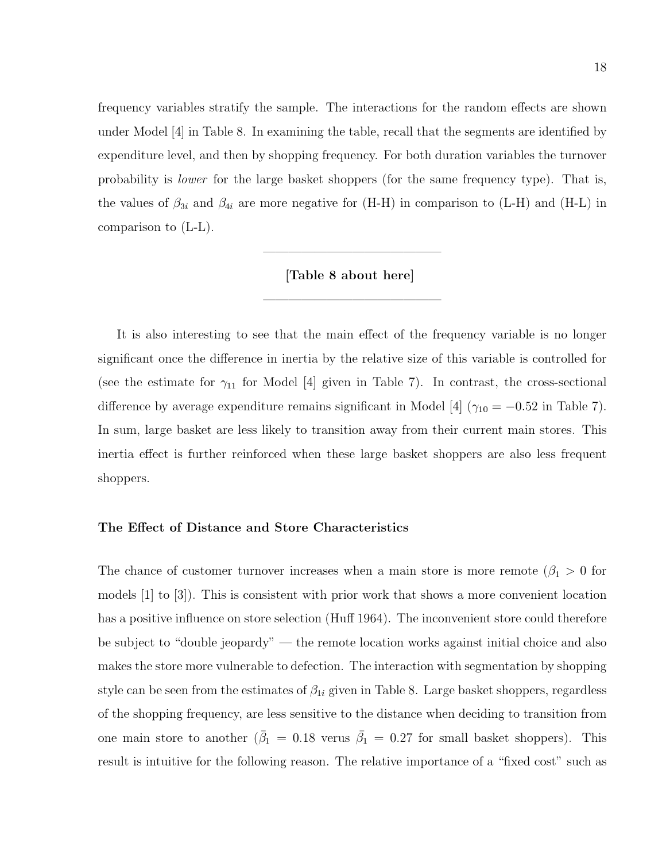frequency variables stratify the sample. The interactions for the random effects are shown under Model  $[4]$  in Table 8. In examining the table, recall that the segments are identified by expenditure level, and then by shopping frequency. For both duration variables the turnover probability is lower for the large basket shoppers (for the same frequency type). That is, the values of  $\beta_{3i}$  and  $\beta_{4i}$  are more negative for (H-H) in comparison to (L-H) and (H-L) in comparison to (L-L).

### [Table 8 about here]

||||||||||||||

||||||||||||||

It is also interesting to see that the main effect of the frequency variable is no longer significant once the difference in inertia by the relative size of this variable is controlled for (see the estimate for  $\gamma_{11}$  for Model [4] given in Table 7). In contrast, the cross-sectional difference by average expenditure remains significant in Model [4] ( $\gamma_{10} = -0.52$  in Table 7). In sum, large basket are less likely to transition away from their current main stores. This inertia effect is further reinforced when these large basket shoppers are also less frequent shoppers.

#### The Effect of Distance and Store Characteristics

The chance of customer turnover increases when a main store is more remote ( $\beta_1 > 0$  for models [1] to [3]). This is consistent with prior work that shows a more convenient location has a positive influence on store selection (Huff 1964). The inconvenient store could therefore be subject to "double jeopardy"  $-$  the remote location works against initial choice and also makes the store more vulnerable to defection. The interaction with segmentation by shopping style can be seen from the estimates of  $\beta_{1i}$  given in Table 8. Large basket shoppers, regardless of the shopping frequency, are less sensitive to the distance when deciding to transition from one main store to another  $(\bar{\beta}_1 = 0.18 \text{ versus } \bar{\beta}_1 = 0.27 \text{ for small basket shoppers})$ . This result is intuitive for the following reason. The relative importance of a "fixed cost" such as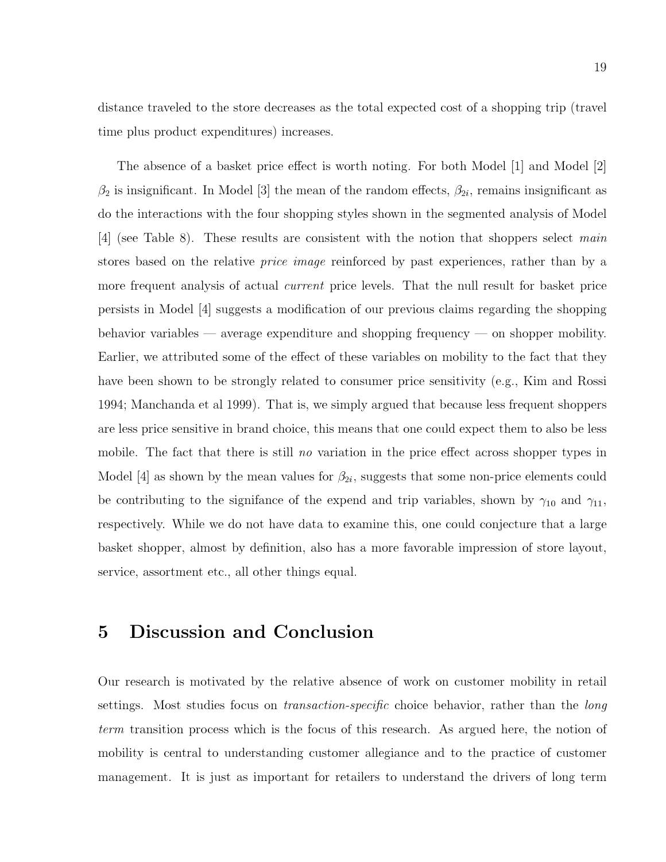distance traveled to the store decreases as the total expected cost of a shopping trip (travel time plus product expenditures) increases.

The absence of a basket price effect is worth noting. For both Model  $[1]$  and Model  $[2]$  $\beta_2$  is insignificant. In Model [3] the mean of the random effects,  $\beta_{2i}$ , remains insignificant as do the interactions with the four shopping styles shown in the segmented analysis of Model [4] (see Table 8). These results are consistent with the notion that shoppers select main stores based on the relative *price image* reinforced by past experiences, rather than by a more frequent analysis of actual *current* price levels. That the null result for basket price persists in Model [4] suggests a modification of our previous claims regarding the shopping behavior variables  $-$  average expenditure and shopping frequency  $-$  on shopper mobility. Earlier, we attributed some of the effect of these variables on mobility to the fact that they have been shown to be strongly related to consumer price sensitivity (e.g., Kim and Rossi 1994; Manchanda et al 1999). That is, we simply argued that because less frequent shoppers are less price sensitive in brand choice, this means that one could expect them to also be less mobile. The fact that there is still no variation in the price effect across shopper types in Model [4] as shown by the mean values for  $\beta_{2i}$ , suggests that some non-price elements could be contributing to the signifance of the expend and trip variables, shown by  $\gamma_{10}$  and  $\gamma_{11}$ , respectively. While we do not have data to examine this, one could conjecture that a large basket shopper, almost by definition, also has a more favorable impression of store layout, service, assortment etc., all other things equal.

# 5 Discussion and Conclusion

Our research is motivated by the relative absence of work on customer mobility in retail settings. Most studies focus on *transaction-specific* choice behavior, rather than the *long* term transition process which is the focus of this research. As argued here, the notion of mobility is central to understanding customer allegiance and to the practice of customer management. It is just as important for retailers to understand the drivers of long term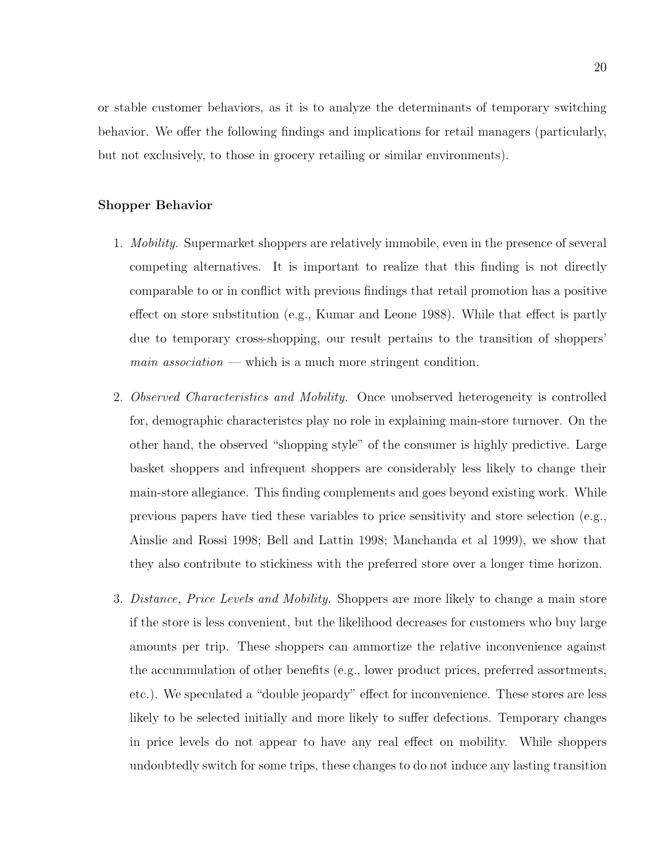or stable customer behaviors, as it is to analyze the determinants of temporary switching behavior. We offer the following findings and implications for retail managers (particularly, but not exclusively, to those in grocery retailing or similar environments).

#### Shopper Behavior

- 1. Mobility. Supermarket shoppers are relatively immobile, even in the presence of several competing alternatives. It is important to realize that this finding is not directly comparable to or in conflict with previous findings that retail promotion has a positive effect on store substitution (e.g., Kumar and Leone 1988). While that effect is partly due to temporary cross-shopping, our result pertains to the transition of shoppers'  $main$  association — which is a much more stringent condition.
- 2. Observed Characteristics and Mobility. Once unobserved heterogeneity is controlled for, demographic characteristcs play no role in explaining main-store turnover. On the other hand, the observed "shopping style" of the consumer is highly predictive. Large basket shoppers and infrequent shoppers are considerably less likely to change their main-store allegiance. This finding complements and goes beyond existing work. While previous papers have tied these variables to price sensitivity and store selection (e.g., Ainslie and Rossi 1998; Bell and Lattin 1998; Manchanda et al 1999), we show that they also contribute to stickiness with the preferred store over a longer time horizon.
- 3. Distance, Price Levels and Mobility. Shoppers are more likely to change a main store if the store is less convenient, but the likelihood decreases for customers who buy large amounts per trip. These shoppers can ammortize the relative inconvenience against the accummulation of other benefits (e.g., lower product prices, preferred assortments, etc.). We speculated a "double jeopardy" effect for inconvenience. These stores are less likely to be selected initially and more likely to suffer defections. Temporary changes in price levels do not appear to have any real effect on mobility. While shoppers undoubtedly switch for some trips, these changes to do not induce any lasting transition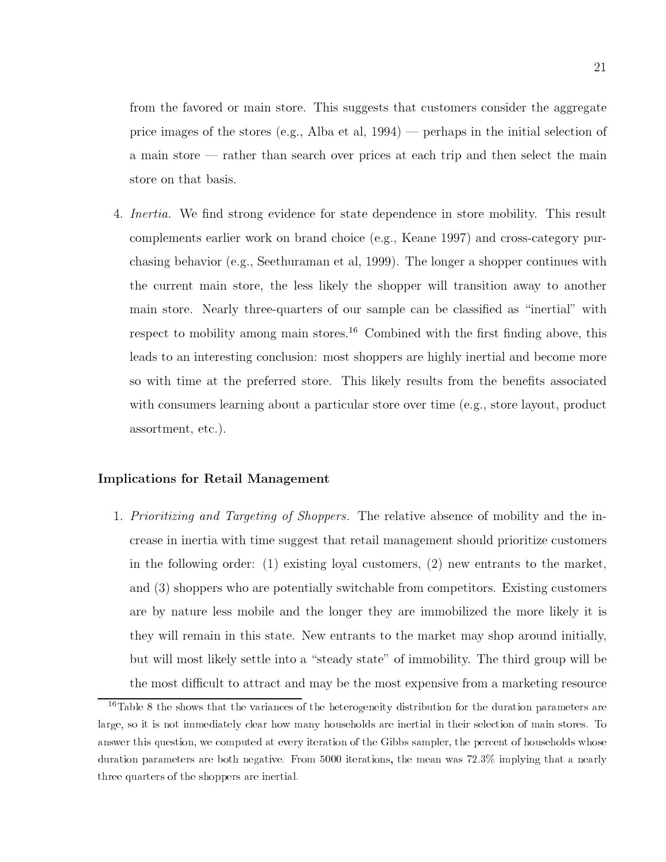from the favored or main store. This suggests that customers consider the aggregate price images of the stores (e.g., Alba et al,  $1994$ ) — perhaps in the initial selection of a main store  $-$  rather than search over prices at each trip and then select the main store on that basis.

4. Inertia. We find strong evidence for state dependence in store mobility. This result complements earlier work on brand choice (e.g., Keane 1997) and cross-category purchasing behavior (e.g., Seethuraman et al, 1999). The longer a shopper continues with the current main store, the less likely the shopper will transition away to another main store. Nearly three-quarters of our sample can be classified as "inertial" with respect to mobility among main stores.<sup>16</sup> Combined with the first finding above, this leads to an interesting conclusion: most shoppers are highly inertial and become more so with time at the preferred store. This likely results from the benefits associated with consumers learning about a particular store over time (e.g., store layout, product assortment, etc.).

#### Implications for Retail Management

1. Prioritizing and Targeting of Shoppers. The relative absence of mobility and the increase in inertia with time suggest that retail management should prioritize customers in the following order: (1) existing loyal customers, (2) new entrants to the market, and (3) shoppers who are potentially switchable from competitors. Existing customers are by nature less mobile and the longer they are immobilized the more likely it is they will remain in this state. New entrants to the market may shop around initially, but will most likely settle into a "steady state" of immobility. The third group will be the most difficult to attract and may be the most expensive from a marketing resource

<sup>10</sup>  Solven the contract of the contract of the contract of the contract of the contract of the contract of the contract of the contract of the selection of main stores. To answer this question, we computed at every iteration of the Gibbs sampler, the percent of households whose example to the contract of the contract of the contract of the contract of the contract of the contract of the<br>International contract of the contract of the contract of the contract of the contract of the contract of the - 0- & =- $\cdots$   $\cdots$   $\cdots$   $\cdots$   $\cdots$   $\cdots$   $\cdots$   $\cdots$   $\cdots$   $\cdots$   $\cdots$   $\cdots$   $\cdots$   $\cdots$   $\cdots$   $\cdots$   $\cdots$   $\cdots$   $\cdots$   $\cdots$  $\frac{1}{1}$   $\frac{1}{1}$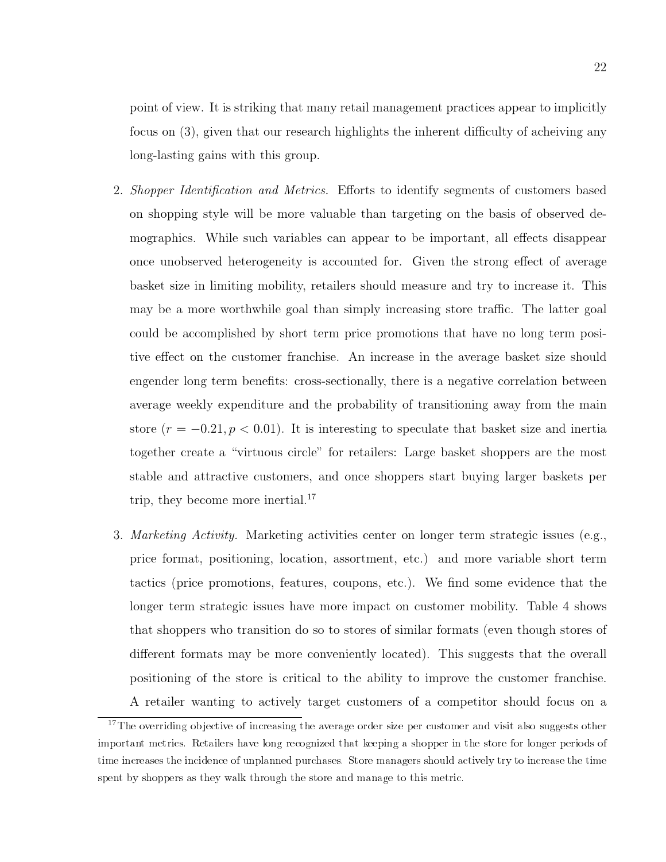point of view. It is striking that many retail management practices appear to implicitly focus on  $(3)$ , given that our research highlights the inherent difficulty of acheiving any long-lasting gains with this group.

- 2. Shopper Identification and Metrics. Efforts to identify segments of customers based on shopping style will be more valuable than targeting on the basis of observed demographics. While such variables can appear to be important, all effects disappear once unobserved heterogeneity is accounted for. Given the strong effect of average basket size in limiting mobility, retailers should measure and try to increase it. This may be a more worthwhile goal than simply increasing store traffic. The latter goal could be accomplished by short term price promotions that have no long term positive effect on the customer franchise. An increase in the average basket size should engender long term benefits: cross-sectionally, there is a negative correlation between average weekly expenditure and the probability of transitioning away from the main store  $(r = -0.21, p < 0.01)$ . It is interesting to speculate that basket size and inertia together create a "virtuous circle" for retailers: Large basket shoppers are the most stable and attractive customers, and once shoppers start buying larger baskets per trip, they become more inertial.
- 3. Marketing Activity. Marketing activities center on longer term strategic issues (e.g., price format, positioning, location, assortment, etc.) and more variable short term tactics (price promotions, features, coupons, etc.). We find some evidence that the longer term strategic issues have more impact on customer mobility. Table 4 shows that shoppers who transition do so to stores of similar formats (even though stores of different formats may be more conveniently located). This suggests that the overall positioning of the store is critical to the ability to improve the customer franchise. A retailer wanting to actively target customers of a competitor should focus on a

<sup>&</sup>lt;sup>17</sup>The overriding objective of increasing the average order size per customer and visit also suggests other - -0 - - 3 - 
- - - & 
- -3 \* - - - 
- - - - & - - -  $\begin{array}{ccccccccccc}\n1 & \nu & 11 & \nu & \nu & \nu & \nu & \nu\n\end{array}$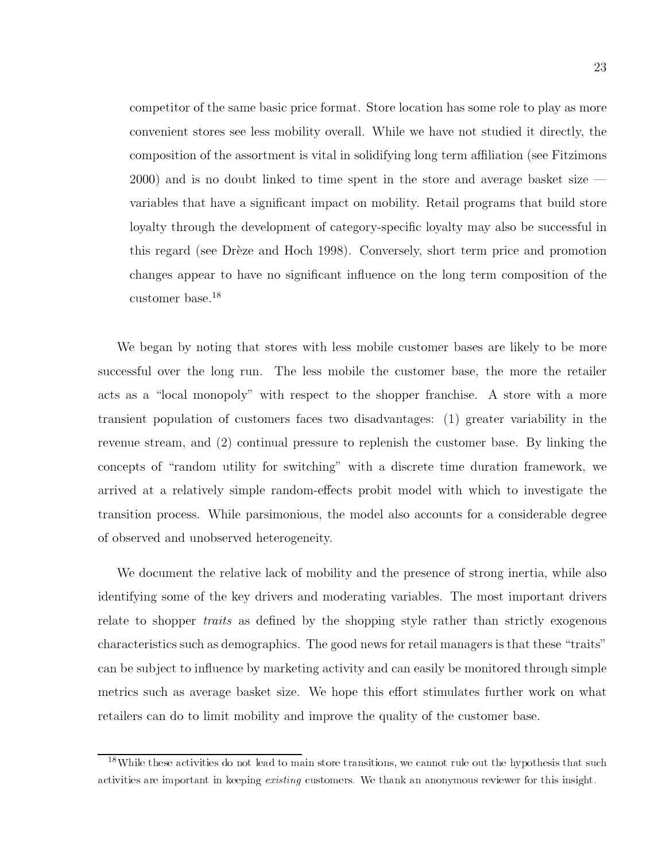competitor of the same basic price format. Store location has some role to play as more convenient stores see less mobility overall. While we have not studied it directly, the composition of the assortment is vital in solidifying long term affiliation (see Fitzimons  $2000$ ) and is no doubt linked to time spent in the store and average basket size  $$ variables that have a significant impact on mobility. Retail programs that build store loyalty through the development of category-specific loyalty may also be successful in this regard (see Drèze and Hoch 1998). Conversely, short term price and promotion changes appear to have no significant influence on the long term composition of the customer base.

We began by noting that stores with less mobile customer bases are likely to be more successful over the long run. The less mobile the customer base, the more the retailer acts as a "local monopoly" with respect to the shopper franchise. A store with a more transient population of customers faces two disadvantages: (1) greater variability in the revenue stream, and (2) continual pressure to replenish the customer base. By linking the concepts of "random utility for switching" with a discrete time duration framework, we arrived at a relatively simple random-effects probit model with which to investigate the transition process. While parsimonious, the model also accounts for a considerable degree of observed and unobserved heterogeneity.

We document the relative lack of mobility and the presence of strong inertia, while also identifying some of the key drivers and moderating variables. The most important drivers relate to shopper *traits* as defined by the shopping style rather than strictly exogenous characteristics such as demographics. The good news for retail managers is that these "traits" can be subject to influence by marketing activity and can easily be monitored through simple metrics such as average basket size. We hope this effort stimulates further work on what retailers can do to limit mobility and improve the quality of the customer base.

<sup>&</sup>lt;sup>18</sup>While these activities do not lead to main store transitions, we cannot rule out the hypothesis that such - - - - - - - - - $\overline{1}$  -- &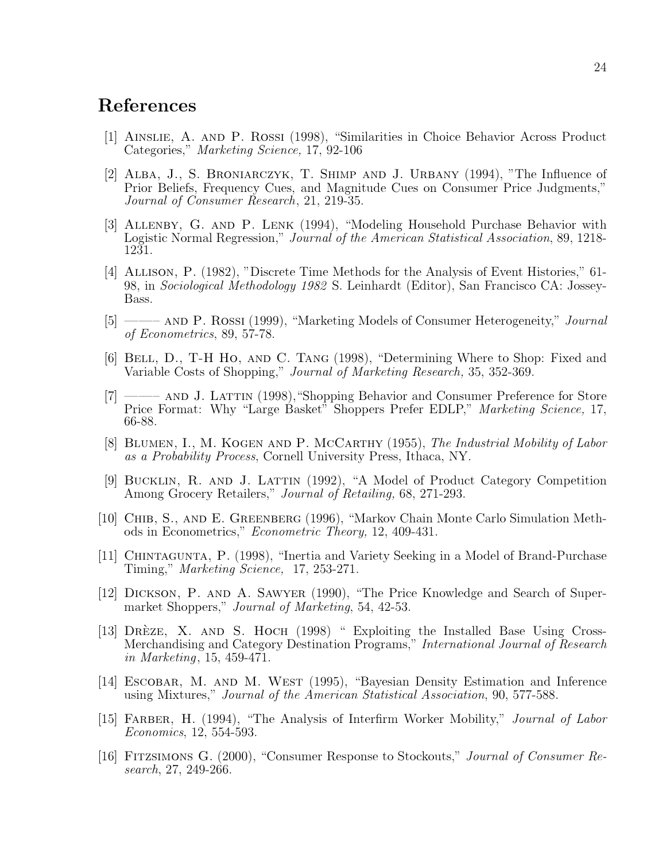# References

- [1] AINSLIE, A. AND P. ROSSI (1998), "Similarities in Choice Behavior Across Product Categories," Marketing Science, 17, 92-106
- [2] ALBA, J., S. BRONIARCZYK, T. SHIMP AND J. URBANY  $(1994)$ , "The Influence of Prior Beliefs, Frequency Cues, and Magnitude Cues on Consumer Price Judgments," Journal of Consumer Research, 21, 219-35.
- [3] ALLENBY, G. AND P. LENK (1994), "Modeling Household Purchase Behavior with Logistic Normal Regression," Journal of the American Statistical Association, 89, 1218- 1231.
- [4] Allison, P. (1982), "Discrete Time Methods for the Analysis of Event Histories," 61- 98, in Sociological Methodology 1982 S. Leinhardt (Editor), San Francisco CA: Jossey-Bass.
- [5] ——— AND P. ROSSI (1999), "Marketing Models of Consumer Heterogeneity," *Journal* of Econometrics, 89, 57-78.
- [6] Bell, D., T-H Ho, and C. Tang (1998), \Determining Where to Shop: Fixed and Variable Costs of Shopping," Journal of Marketing Research, 35, 352-369.
- $[7]$  ——— AND J. LATTIN (1998), "Shopping Behavior and Consumer Preference for Store Price Format: Why "Large Basket" Shoppers Prefer EDLP," Marketing Science, 17, 66-88.
- [8] Blumen, I., M. Kogen and P. McCarthy (1955), The Industrial Mobility of Labor as a Probability Process, Cornell University Press, Ithaca, NY.
- [9] BUCKLIN, R. AND J. LATTIN (1992), "A Model of Product Category Competition Among Grocery Retailers," Journal of Retailing, 68, 271-293.
- [10] Chib, S., and E. Greenberg (1996), \Markov Chain Monte Carlo Simulation Methods in Econometrics," Econometric Theory, 12, 409-431.
- [11] CHINTAGUNTA, P. (1998), "Inertia and Variety Seeking in a Model of Brand-Purchase Timing," Marketing Science, 17, 253-271.
- [12] Dickson, P. and A. Sawyer (1990), \The Price Knowledge and Search of Supermarket Shoppers," Journal of Marketing, 54, 42-53.
- [13] DRÈZE, X. AND S. HOCH (1998) " Exploiting the Installed Base Using Cross-Merchandising and Category Destination Programs," International Journal of Research in Marketing, 15, 459-471.
- [14] ESCOBAR, M. AND M. WEST (1995), "Bayesian Density Estimation and Inference using Mixtures," Journal of the American Statistical Association, 90, 577-588.
- [15] FARBER, H. (1994), "The Analysis of Interfirm Worker Mobility," *Journal of Labor* Economics, 12, 554-593.
- [16] FITZSIMONS G. (2000), "Consumer Response to Stockouts," Journal of Consumer Research, 27, 249-266.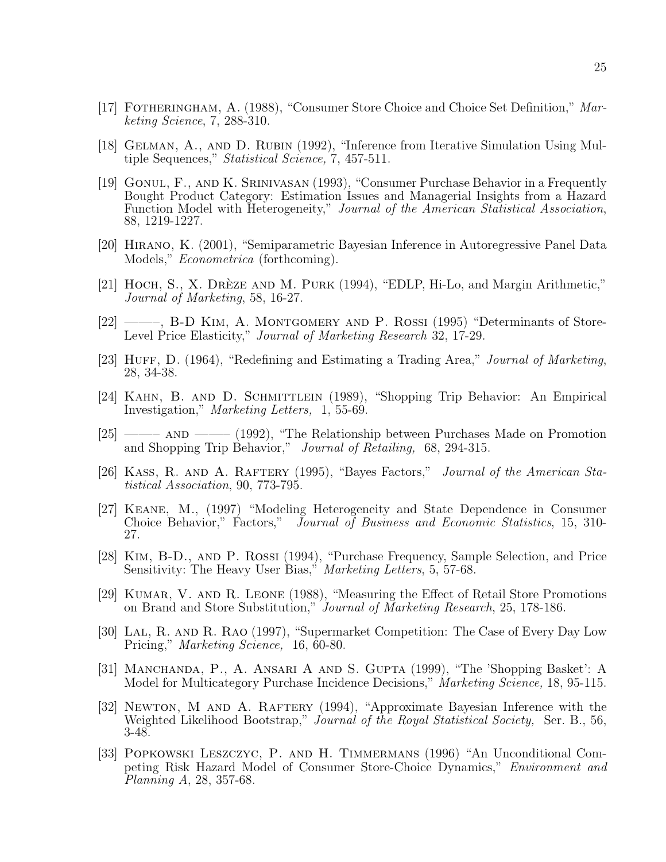- [17] FOTHERINGHAM, A. (1988), "Consumer Store Choice and Choice Set Definition," Marketing Science, 7, 288-310.
- [18] GELMAN, A., AND D. RUBIN (1992), "Inference from Iterative Simulation Using Multiple Sequences," Statistical Science, 7, 457-511.
- [19] GONUL, F., AND K. SRINIVASAN  $(1993)$ , "Consumer Purchase Behavior in a Frequently Bought Product Category: Estimation Issues and Managerial Insights from a Hazard Function Model with Heterogeneity," Journal of the American Statistical Association, 88, 1219-1227.
- [20] HIRANO, K. (2001), "Semiparametric Bayesian Inference in Autoregressive Panel Data Models," *Econometrica* (forthcoming).
- [21] HOCH, S., X. DRÈZE AND M. PURK (1994), "EDLP, Hi-Lo, and Margin Arithmetic," Journal of Marketing, 58, 16-27.
- $[22]$  ——, B-D KIM, A. MONTGOMERY AND P. ROSSI  $(1995)$  "Determinants of Store-Level Price Elasticity," Journal of Marketing Research 32, 17-29.
- [23] HUFF, D. (1964), "Redefining and Estimating a Trading Area," *Journal of Marketing*, 28, 34-38.
- [24] KAHN, B. AND D. SCHMITTLEIN (1989), "Shopping Trip Behavior: An Empirical Investigation," Marketing Letters, 1, 55-69.
- $[25]$  —— AND ——  $(1992)$ , "The Relationship between Purchases Made on Promotion and Shopping Trip Behavior," Journal of Retailing, 68, 294-315.
- [26] KASS, R. AND A. RAFTERY (1995), "Bayes Factors," *Journal of the American Sta*tistical Association, 90, 773-795.
- [27] KEANE, M., (1997) "Modeling Heterogeneity and State Dependence in Consumer Choice Behavior," Factors," Journal of Business and Economic Statistics, 15, 310- 27.
- [28] KIM, B-D., AND P. ROSSI (1994), "Purchase Frequency, Sample Selection, and Price Sensitivity: The Heavy User Bias,<sup>\*</sup> Marketing Letters, 5, 57-68.
- [29] KUMAR, V. AND R. LEONE  $(1988)$ , "Measuring the Effect of Retail Store Promotions on Brand and Store Substitution," Journal of Marketing Research, 25, 178-186.
- [30] LAL, R. AND R. RAO (1997), "Supermarket Competition: The Case of Every Day Low Pricing," Marketing Science, 16, 60-80.
- [31] MANCHANDA, P., A. ANSARI A AND S. GUPTA (1999), "The 'Shopping Basket': A Model for Multicategory Purchase Incidence Decisions," Marketing Science, 18, 95-115.
- [32] NEWTON, M AND A. RAFTERY (1994), "Approximate Bayesian Inference with the Weighted Likelihood Bootstrap," Journal of the Royal Statistical Society, Ser. B., 56, 3-48.
- [33] POPKOWSKI LESZCZYC, P. AND H. TIMMERMANS (1996) "An Unconditional Competing Risk Hazard Model of Consumer Store-Choice Dynamics," Environment and Planning A, 28, 357-68.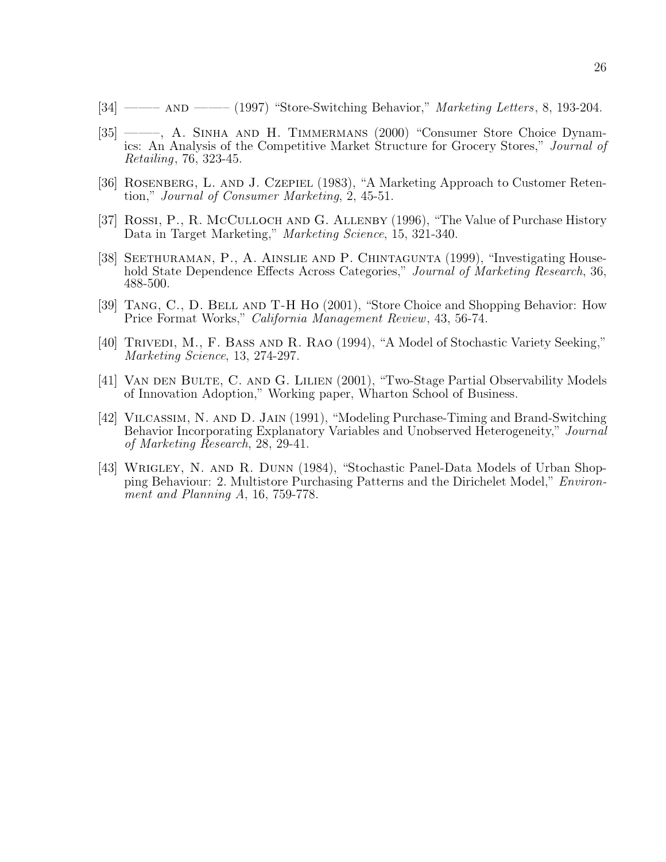- [34]  $|{\rm (34)} \>$   $|{\rm (1997)} \>$  "Store-Switching Behavior," *Marketing Letters*, 8, 193-204.
- $[35]$  ——, A. SINHA AND H. TIMMERMANS  $(2000)$  "Consumer Store Choice Dynamics: An Analysis of the Competitive Market Structure for Grocery Stores," Journal of Retailing, 76, 323-45.
- [36] ROSENBERG, L. AND J. CZEPIEL (1983), "A Marketing Approach to Customer Retention," Journal of Consumer Marketing, 2, 45-51.
- [37] Rossi, P., R. McCulloch and G. Allenby (1996), \The Value of Purchase History Data in Target Marketing," Marketing Science, 15, 321-340.
- [38] SEETHURAMAN, P., A. AINSLIE AND P. CHINTAGUNTA (1999), "Investigating Household State Dependence Effects Across Categories," Journal of Marketing Research, 36, 488-500.
- [39] TANG, C., D. BELL AND T-H HO (2001), "Store Choice and Shopping Behavior: How Price Format Works," California Management Review, 43, 56-74.
- [40] TRIVEDI, M., F. BASS AND R. RAO (1994), "A Model of Stochastic Variety Seeking," Marketing Science, 13, 274-297.
- [41] Van den Bulte, C. and G. Lilien (2001), \Two-Stage Partial Observability Models of Innovation Adoption," Working paper, Wharton School of Business.
- [42] VILCASSIM, N. AND D. JAIN (1991), "Modeling Purchase-Timing and Brand-Switching Behavior Incorporating Explanatory Variables and Unobserved Heterogeneity," Journal of Marketing Research, 28, 29-41.
- [43] WRIGLEY, N. AND R. DUNN (1984), "Stochastic Panel-Data Models of Urban Shopping Behaviour: 2. Multistore Purchasing Patterns and the Dirichelet Model," Environment and Planning A, 16, 759-778.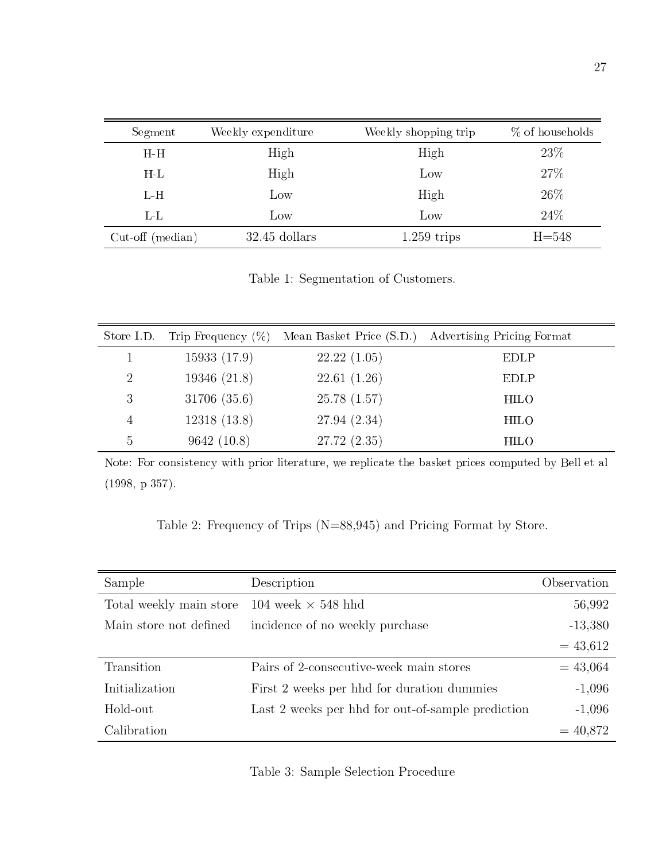| Segment            | Weekly expenditure | Weekly shopping trip | % of households |
|--------------------|--------------------|----------------------|-----------------|
| $H-H$              | High               | High                 | 23\%            |
| H-L                | High               | Low                  | 27\%            |
| $L-H$              | Low                | High                 | 26\%            |
| $L-L$              | $_{\text{LOW}}$    | Low                  | 24\%            |
| $Cut-off$ (median) | $32.45$ dollars    | $1.259$ trips        | $H = 548$       |

Table 1: Segmentation of Customers.

| Store I.D.     | Trip Frequency $(\%)$ | Mean Basket Price (S.D.) | Advertising Pricing Format |
|----------------|-----------------------|--------------------------|----------------------------|
|                | 15933 (17.9)          | 22.22(1.05)              | <b>EDLP</b>                |
| $\overline{2}$ | 19346 (21.8)          | 22.61(1.26)              | <b>EDLP</b>                |
| 3              | 31706 (35.6)          | 25.78(1.57)              | <b>HILO</b>                |
| $\overline{4}$ | 12318(13.8)           | 27.94(2.34)              | HILO                       |
| 5              | 9642(10.8)            | 27.72(2.35)              | HILO                       |

Note: For consistency with prior literature, we replicate the basket prices computed by Bell et al  $(1998, p 357).$ 

|  |  |  |  |  | Table 2: Frequency of Trips (N=88,945) and Pricing Format by Store. |
|--|--|--|--|--|---------------------------------------------------------------------|
|--|--|--|--|--|---------------------------------------------------------------------|

| Sample                  | Description                                       | Observation |
|-------------------------|---------------------------------------------------|-------------|
| Total weekly main store | 104 week $\times$ 548 hhd                         | 56,992      |
| Main store not defined  | incidence of no weekly purchase                   | $-13,380$   |
|                         |                                                   | $= 43,612$  |
| Transition              | Pairs of 2-consecutive-week main stores           | $= 43,064$  |
| Initialization          | First 2 weeks per hhd for duration dummies        | $-1,096$    |
| Hold-out                | Last 2 weeks per hhd for out-of-sample prediction | $-1,096$    |
| Calibration             |                                                   | $= 40,872$  |

## Table 3: Sample Selection Procedure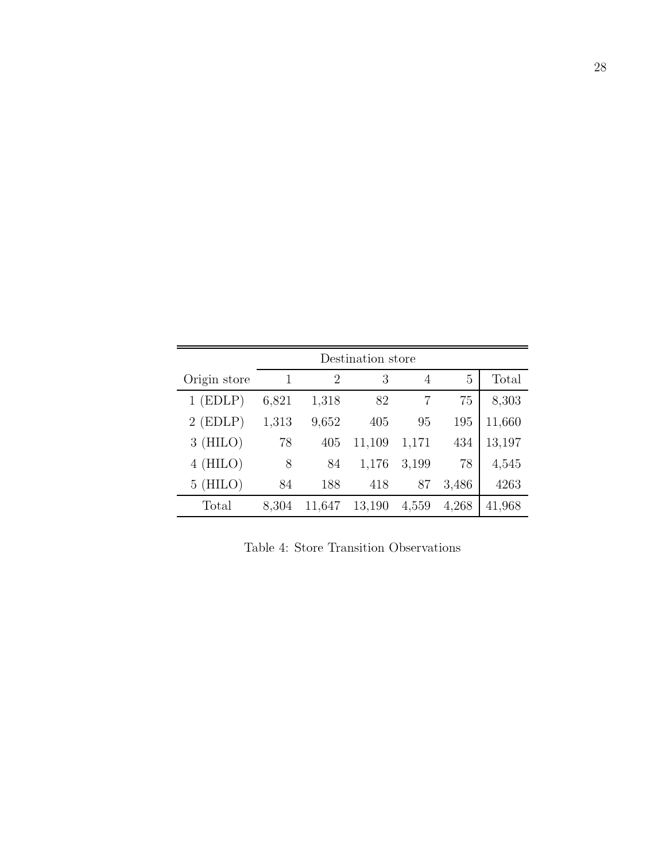|              | Destination store |                |        |       |       |        |  |
|--------------|-------------------|----------------|--------|-------|-------|--------|--|
| Origin store |                   | $\overline{2}$ | 3      | 4     | 5     | Total  |  |
| (EDLP)       | 6,821             | 1,318          | 82     | 7     | 75    | 8,303  |  |
| $2$ (EDLP)   | 1,313             | 9,652          | 405    | 95    | 195   | 11,660 |  |
| 3(HILO)      | 78                | 405            | 11,109 | 1,171 | 434   | 13,197 |  |
| 4(HILO)      | 8                 | 84             | 1,176  | 3,199 | 78    | 4,545  |  |
| 5(HILO)      | 84                | 188            | 418    | 87    | 3,486 | 4263   |  |
| Total        | 8,304             | 11.647         | 13,190 | 4,559 | 4,268 | 41,968 |  |

Table 4: Store Transition Observations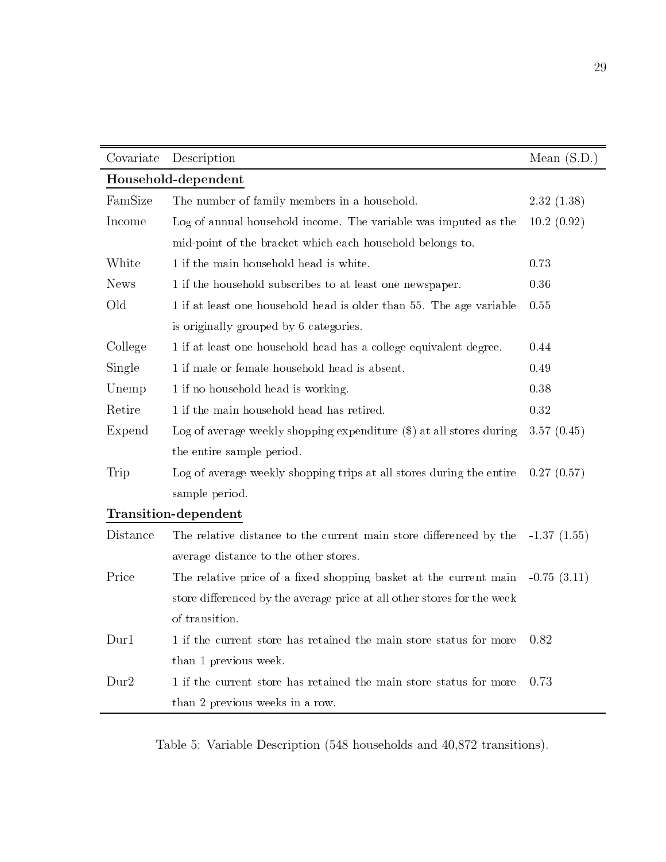| Covariate           | Description                                                                       | Mean $(S.D.)$ |  |  |  |  |
|---------------------|-----------------------------------------------------------------------------------|---------------|--|--|--|--|
| Household-dependent |                                                                                   |               |  |  |  |  |
| FamSize             | The number of family members in a household.                                      | 2.32(1.38)    |  |  |  |  |
| Income              | Log of annual household income. The variable was imputed as the                   | 10.2(0.92)    |  |  |  |  |
|                     | mid-point of the bracket which each household belongs to.                         |               |  |  |  |  |
| White               | 1 if the main household head is white.                                            | 0.73          |  |  |  |  |
| <b>News</b>         | 1 if the household subscribes to at least one newspaper.                          | 0.36          |  |  |  |  |
| Old                 | 1 if at least one household head is older than 55. The age variable               | 0.55          |  |  |  |  |
|                     | is originally grouped by 6 categories.                                            |               |  |  |  |  |
| College             | 1 if at least one household head has a college equivalent degree.                 | 0.44          |  |  |  |  |
| Single              | 1 if male or female household head is absent.                                     | 0.49          |  |  |  |  |
| Unemp               | 1 if no household head is working.                                                | 0.38          |  |  |  |  |
| Retire              | 1 if the main household head has retired.                                         | 0.32          |  |  |  |  |
| Expend              | Log of average weekly shopping expenditure $(\$)$ at all stores during            | 3.57(0.45)    |  |  |  |  |
|                     | the entire sample period.                                                         |               |  |  |  |  |
| Trip                | Log of average weekly shopping trips at all stores during the entire              | 0.27(0.57)    |  |  |  |  |
|                     | sample period.                                                                    |               |  |  |  |  |
|                     | Transition-dependent                                                              |               |  |  |  |  |
| Distance            | The relative distance to the current main store differenced by the $-1.37$ (1.55) |               |  |  |  |  |
|                     | average distance to the other stores.                                             |               |  |  |  |  |
| Price               | The relative price of a fixed shopping basket at the current main $-0.75$ (3.11)  |               |  |  |  |  |
|                     | store differenced by the average price at all other stores for the week           |               |  |  |  |  |
|                     | of transition.                                                                    |               |  |  |  |  |
| Dur1                | 1 if the current store has retained the main store status for more                | 0.82          |  |  |  |  |
|                     | than 1 previous week.                                                             |               |  |  |  |  |
| Dur2                | 1 if the current store has retained the main store status for more                | 0.73          |  |  |  |  |
|                     | than 2 previous weeks in a row.                                                   |               |  |  |  |  |

Table 5: Variable Description (548 households and 40,872 transitions).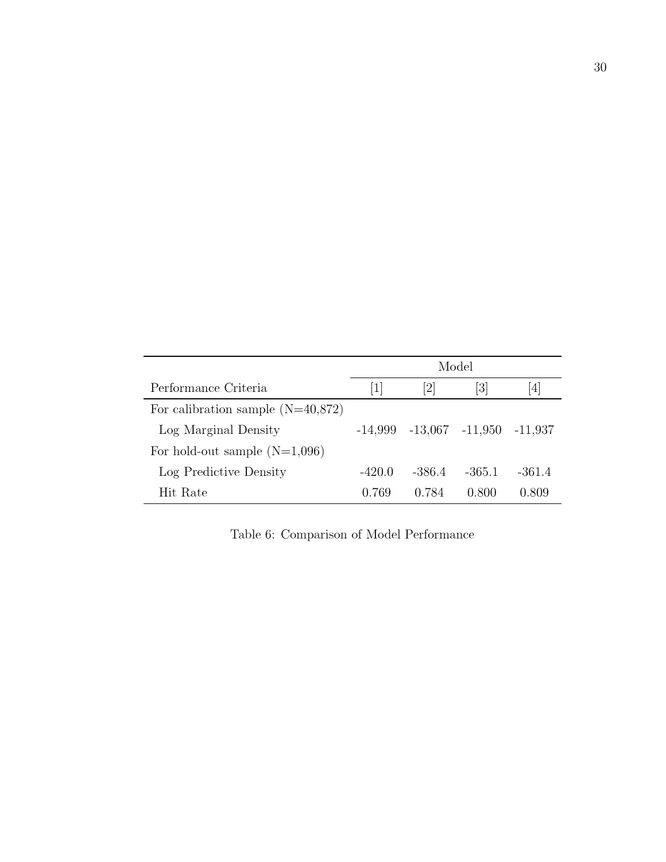|                                     | Model    |                                         |                   |          |
|-------------------------------------|----------|-----------------------------------------|-------------------|----------|
| Performance Criteria                | 1        | $\overline{2}$                          | $\lceil 3 \rceil$ | 4        |
| For calibration sample $(N=40,872)$ |          |                                         |                   |          |
| Log Marginal Density                |          | $-14,999$ $-13,067$ $-11,950$ $-11,937$ |                   |          |
| For hold-out sample $(N=1,096)$     |          |                                         |                   |          |
| Log Predictive Density              | $-420.0$ | -386.4                                  | $-365.1$          | $-361.4$ |
| Hit Rate                            | 0.769    | 0.784                                   | 0.800             | A 809    |

Table 6: Comparison of Model Performance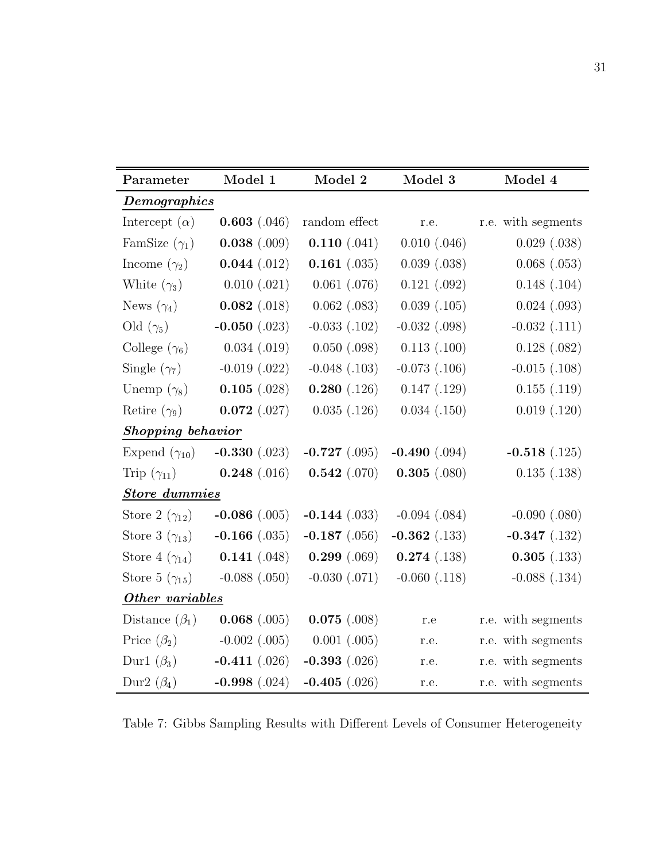| Parameter               | Model 1           | Model 2           | Model 3           | Model 4            |
|-------------------------|-------------------|-------------------|-------------------|--------------------|
| Demographics            |                   |                   |                   |                    |
| Intercept $(\alpha)$    | $0.603$ (.046)    | random effect     | r.e.              | r.e. with segments |
| FamSize $(\gamma_1)$    | 0.038(.009)       | 0.110(.041)       | $0.010$ $(.046)$  | $0.029$ $(.038)$   |
| Income $(\gamma_2)$     | $0.044$ (.012)    | $0.161$ (.035)    | $0.039$ $(.038)$  | $0.068$ $(.053)$   |
| White $(\gamma_3)$      | $0.010$ $(.021)$  | $0.061$ $(.076)$  | 0.121(.092)       | 0.148(.104)        |
| News $(\gamma_4)$       | $0.082$ (.018)    | $0.062$ (.083)    | $0.039$ $(.105)$  | $0.024$ $(.093)$   |
| Old $(\gamma_5)$        | $-0.050$ (.023)   | $-0.033$ $(.102)$ | $-0.032$ (.098)   | $-0.032$ $(.111)$  |
| College $(\gamma_6)$    | $0.034$ $(.019)$  | $0.050$ $(.098)$  | 0.113(.100)       | 0.128(.082)        |
| Single $(\gamma_7)$     | $-0.019$ $(.022)$ | $-0.048$ $(.103)$ | $-0.073$ $(.106)$ | $-0.015$ $(.108)$  |
| Unemp $(\gamma_8)$      | $0.105$ (.028)    | 0.280(.126)       | $0.147$ $(.129)$  | $0.155$ $(.119)$   |
| Retire $(\gamma_9)$     | $0.072$ (.027)    | $0.035$ $(.126)$  | $0.034$ $(.150)$  | $0.019$ $(.120)$   |
| Shopping behavior       |                   |                   |                   |                    |
| Expend $(\gamma_{10})$  | $-0.330$ (.023)   | $-0.727$ (.095)   | $-0.490(.094)$    | $-0.518(.125)$     |
| Trip $(\gamma_{11})$    | 0.248(.016)       | 0.542(.070)       | $0.305$ $(.080)$  | 0.135(.138)        |
| <b>Store dummies</b>    |                   |                   |                   |                    |
| Store 2 $(\gamma_{12})$ | $-0.086$ (.005)   | $-0.144$ (.033)   | $-0.094$ (.084)   | $-0.090$ $(.080)$  |
| Store 3 $(\gamma_{13})$ | $-0.166$ (.035)   | $-0.187$ (.056)   | $-0.362$ (.133)   | $-0.347(0.132)$    |
| Store 4 $(\gamma_{14})$ | 0.141(.048)       | 0.299(0.069)      | $0.274$ $(.138)$  | $0.305$ (.133)     |
| Store 5 $(\gamma_{15})$ | $-0.088$ $(.050)$ | $-0.030$ $(.071)$ | $-0.060$ $(.118)$ | $-0.088$ $(.134)$  |
| Other variables         |                   |                   |                   |                    |
| Distance $(\beta_1)$    | $0.068$ (.005)    | $0.075$ (.008)    | r.e               | r.e. with segments |
| Price $(\beta_2)$       | $-0.002$ $(.005)$ | $0.001$ $(.005)$  | r.e.              | r.e. with segments |
| Dur1 $(\beta_3)$        | $-0.411(.026)$    | $-0.393$ (.026)   | r.e.              | r.e. with segments |
| Dur2 $(\beta_4)$        | $-0.998(.024)$    | $-0.405$ (.026)   | r.e.              | r.e. with segments |

Table 7: Gibbs Sampling Results with Different Levels of Consumer Heterogeneity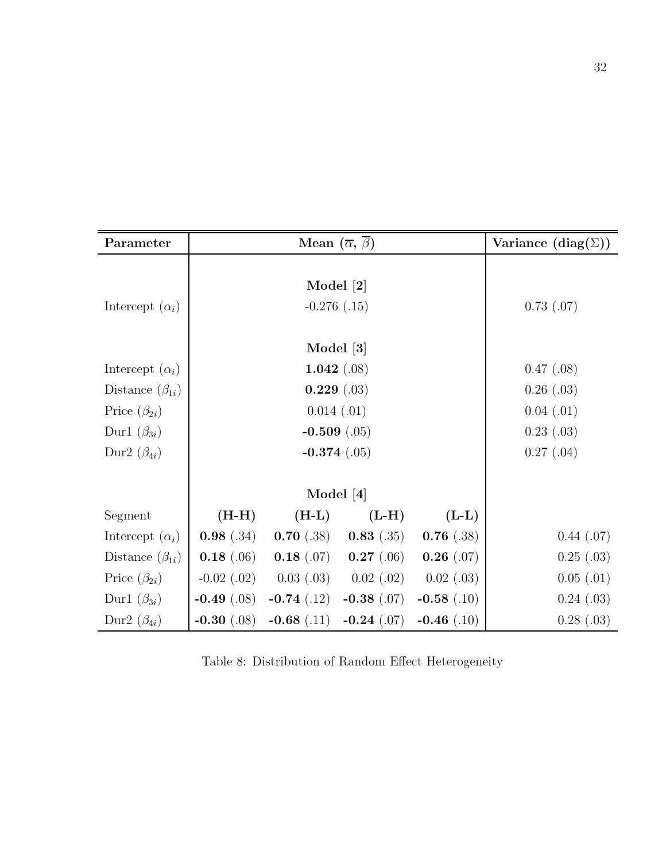| Parameter               |                                                                   | Mean $(\overline{\alpha}, \overline{\beta})$ | Variance $(\text{diag}(\Sigma))$ |                |                |
|-------------------------|-------------------------------------------------------------------|----------------------------------------------|----------------------------------|----------------|----------------|
|                         |                                                                   |                                              |                                  |                |                |
|                         |                                                                   | Model [2]                                    |                                  |                |                |
| Intercept $(\alpha_i)$  |                                                                   |                                              | $-0.276$ $(.15)$                 |                | $0.73$ $(.07)$ |
|                         |                                                                   |                                              |                                  |                |                |
|                         |                                                                   | Model [3]                                    |                                  |                |                |
| Intercept $(\alpha_i)$  |                                                                   |                                              | 1.042 $(.08)$                    |                | 0.47(.08)      |
| Distance $(\beta_{1i})$ |                                                                   |                                              | 0.229(.03)                       |                | $0.26$ $(.03)$ |
| Price $(\beta_{2i})$    |                                                                   | 0.014(.01)                                   | 0.04(.01)                        |                |                |
| Dur1 $(\beta_{3i})$     |                                                                   | $-0.509(.05)$                                | $0.23$ $(.03)$                   |                |                |
| Dur2 $(\beta_{4i})$     | $-0.374(.05)$                                                     |                                              |                                  |                | 0.27(.04)      |
|                         |                                                                   |                                              |                                  |                |                |
|                         |                                                                   | Model [4]                                    |                                  |                |                |
| Segment                 | $(H-H)$                                                           | $(H-L)$                                      | $(L-H)$                          | $(L-L)$        |                |
| Intercept $(\alpha_i)$  | 0.98(.34)                                                         | 0.70(.38)                                    | 0.83(0.35)                       | 0.76(.38)      | $0.44$ $(.07)$ |
| Distance $(\beta_{1i})$ | 0.26(0.07)<br>0.18(.06)<br>0.18(.07)<br>0.27(.06)                 |                                              |                                  | $0.25$ $(.03)$ |                |
| Price $(\beta_{2i})$    | $-0.02$ (.02)<br>0.03(0.03)<br>$0.02$ $(.02)$<br>$0.02$ (.03)     |                                              |                                  | $0.05$ $(.01)$ |                |
| Dur1 $(\beta_{3i})$     | $-0.49(.08)$<br>$-0.74$ (.12)<br>$-0.58$ $(.10)$<br>$-0.38$ (.07) |                                              |                                  | $0.24$ $(.03)$ |                |
| Dur2 $(\beta_{4i})$     | $-0.30$ (.08)                                                     | $-0.68$ $(.11)$                              | $-0.24$ (.07)                    | $-0.46$ (.10)  | 0.28(.03)      |

Table 8: Distribution of Random Effect Heterogeneity